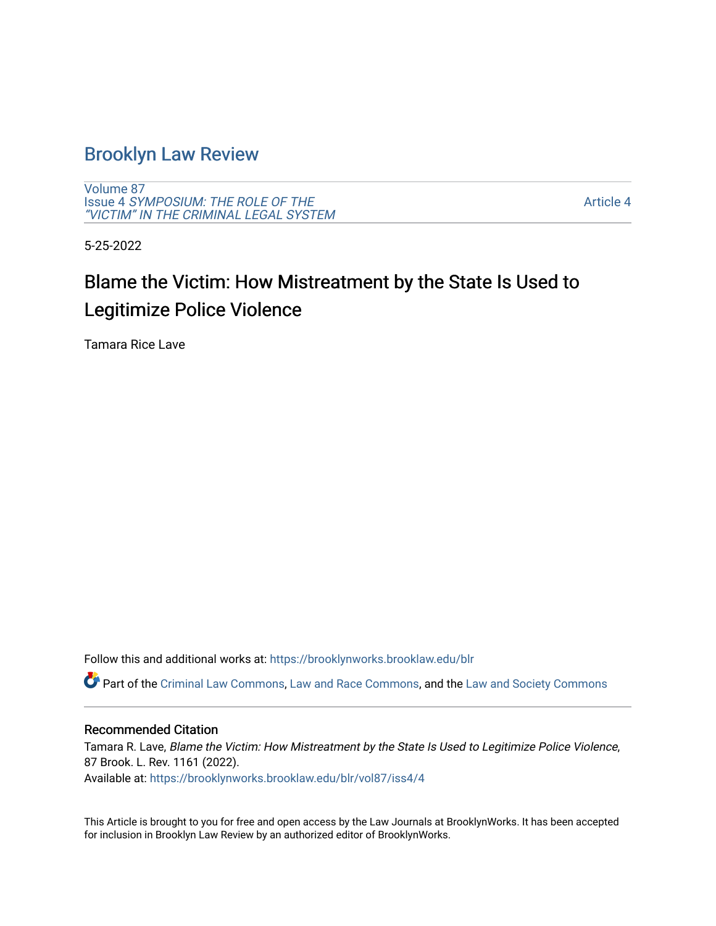## [Brooklyn Law Review](https://brooklynworks.brooklaw.edu/blr)

[Volume 87](https://brooklynworks.brooklaw.edu/blr/vol87) Issue 4 [SYMPOSIUM: THE ROLE OF THE](https://brooklynworks.brooklaw.edu/blr/vol87/iss4) ["VICTIM" IN THE CRIMINAL LEGAL SYSTEM](https://brooklynworks.brooklaw.edu/blr/vol87/iss4)

[Article 4](https://brooklynworks.brooklaw.edu/blr/vol87/iss4/4) 

5-25-2022

# Blame the Victim: How Mistreatment by the State Is Used to Legitimize Police Violence

Tamara Rice Lave

Follow this and additional works at: [https://brooklynworks.brooklaw.edu/blr](https://brooklynworks.brooklaw.edu/blr?utm_source=brooklynworks.brooklaw.edu%2Fblr%2Fvol87%2Fiss4%2F4&utm_medium=PDF&utm_campaign=PDFCoverPages) 

Part of the [Criminal Law Commons,](https://network.bepress.com/hgg/discipline/912?utm_source=brooklynworks.brooklaw.edu%2Fblr%2Fvol87%2Fiss4%2F4&utm_medium=PDF&utm_campaign=PDFCoverPages) [Law and Race Commons,](https://network.bepress.com/hgg/discipline/1300?utm_source=brooklynworks.brooklaw.edu%2Fblr%2Fvol87%2Fiss4%2F4&utm_medium=PDF&utm_campaign=PDFCoverPages) and the [Law and Society Commons](https://network.bepress.com/hgg/discipline/853?utm_source=brooklynworks.brooklaw.edu%2Fblr%2Fvol87%2Fiss4%2F4&utm_medium=PDF&utm_campaign=PDFCoverPages) 

## Recommended Citation

Tamara R. Lave, Blame the Victim: How Mistreatment by the State Is Used to Legitimize Police Violence, 87 Brook. L. Rev. 1161 (2022). Available at: [https://brooklynworks.brooklaw.edu/blr/vol87/iss4/4](https://brooklynworks.brooklaw.edu/blr/vol87/iss4/4?utm_source=brooklynworks.brooklaw.edu%2Fblr%2Fvol87%2Fiss4%2F4&utm_medium=PDF&utm_campaign=PDFCoverPages)

This Article is brought to you for free and open access by the Law Journals at BrooklynWorks. It has been accepted for inclusion in Brooklyn Law Review by an authorized editor of BrooklynWorks.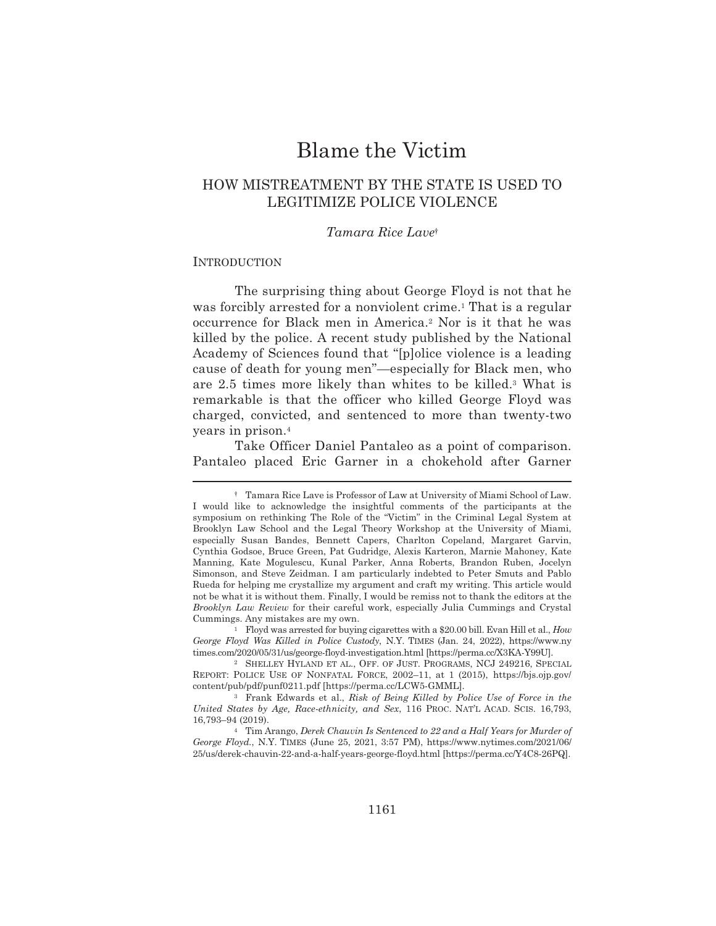## **Blame the Victim**

## HOW MISTREATMENT BY THE STATE IS USED TO LEGITIMIZE POLICE VIOLENCE

## Tamara Rice Lavet

### **INTRODUCTION**

The surprising thing about George Floyd is not that he was forcibly arrested for a nonviolent crime.<sup>1</sup> That is a regular occurrence for Black men in America.<sup>2</sup> Nor is it that he was killed by the police. A recent study published by the National Academy of Sciences found that "[p]olice violence is a leading cause of death for young men"—especially for Black men, who are 2.5 times more likely than whites to be killed.<sup>3</sup> What is remarkable is that the officer who killed George Floyd was charged, convicted, and sentenced to more than twenty-two years in prison.<sup>4</sup>

Take Officer Daniel Pantaleo as a point of comparison. Pantaleo placed Eric Garner in a chokehold after Garner

<sup>&</sup>lt;sup>†</sup> Tamara Rice Lave is Professor of Law at University of Miami School of Law. I would like to acknowledge the insightful comments of the participants at the symposium on rethinking The Role of the "Victim" in the Criminal Legal System at Brooklyn Law School and the Legal Theory Workshop at the University of Miami, especially Susan Bandes, Bennett Capers, Charlton Copeland, Margaret Garvin, Cynthia Godsoe, Bruce Green, Pat Gudridge, Alexis Karteron, Marnie Mahoney, Kate Manning, Kate Mogulescu, Kunal Parker, Anna Roberts, Brandon Ruben, Jocelyn Simonson, and Steve Zeidman. I am particularly indebted to Peter Smuts and Pablo Rueda for helping me crystallize my argument and craft my writing. This article would not be what it is without them. Finally, I would be remiss not to thank the editors at the Brooklyn Law Review for their careful work, especially Julia Cummings and Crystal Cummings. Any mistakes are my own.

<sup>&</sup>lt;sup>1</sup> Floyd was arrested for buying cigarettes with a \$20.00 bill. Evan Hill et al., *How* George Floyd Was Killed in Police Custody, N.Y. TIMES (Jan. 24, 2022), https://www.ny times.com/2020/05/31/us/george-floyd-investigation.html [https://perma.cc/X3KA-Y99U].

<sup>&</sup>lt;sup>2</sup> SHELLEY HYLAND ET AL., OFF. OF JUST. PROGRAMS, NCJ 249216, SPECIAL REPORT: POLICE USE OF NONFATAL FORCE, 2002-11, at 1 (2015), https://bjs.ojp.gov/ content/pub/pdf/punf0211.pdf [https://perma.cc/LCW5-GMML].

<sup>&</sup>lt;sup>3</sup> Frank Edwards et al., Risk of Being Killed by Police Use of Force in the United States by Age, Race-ethnicity, and Sex, 116 PROC. NAT'L ACAD. SCIS. 16,793, 16,793-94 (2019).

<sup>&</sup>lt;sup>4</sup> Tim Arango, Derek Chauvin Is Sentenced to 22 and a Half Years for Murder of George Floyd., N.Y. TIMES (June 25, 2021, 3:57 PM), https://www.nytimes.com/2021/06/ 25/us/derek-chauvin-22-and-a-half-years-george-floyd.html [https://perma.cc/Y4C8-26PQ].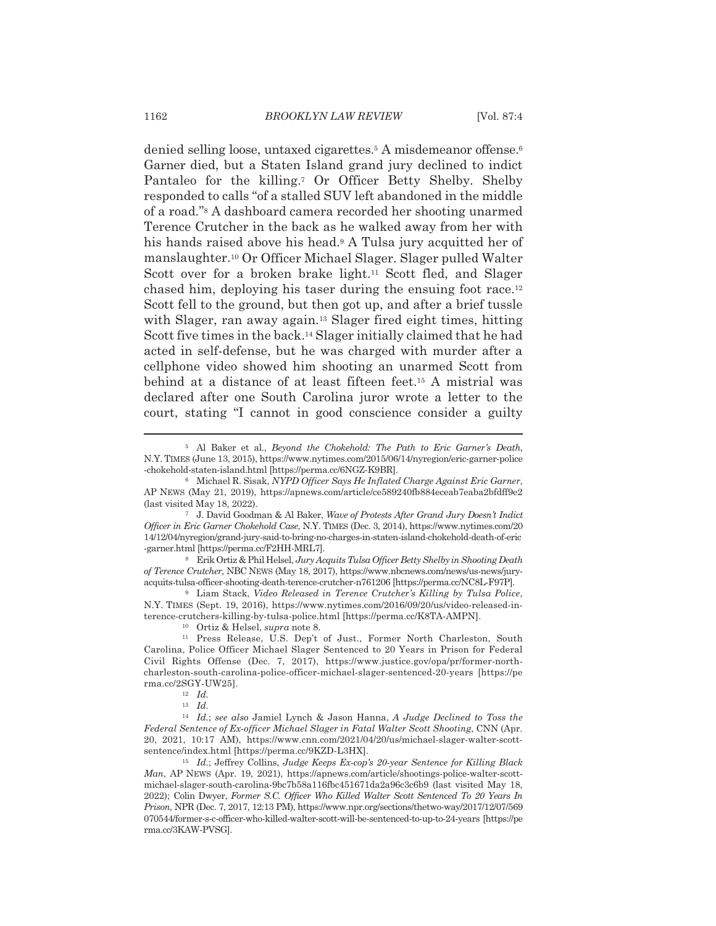denied selling loose, untaxed cigarettes.<sup>5</sup> A misdemeanor offense.<sup>6</sup> Garner died, but a Staten Island grand jury declined to indict Pantaleo for the killing.<sup>7</sup> Or Officer Betty Shelby. Shelby responded to calls "of a stalled SUV left abandoned in the middle of a road." A dashboard camera recorded her shooting unarmed Terence Crutcher in the back as he walked away from her with his hands raised above his head.<sup>9</sup> A Tulsa jury acquitted her of manslaughter.<sup>10</sup> Or Officer Michael Slager. Slager pulled Walter Scott over for a broken brake light.<sup>11</sup> Scott fled, and Slager chased him, deploying his taser during the ensuing foot race.<sup>12</sup> Scott fell to the ground, but then got up, and after a brief tussle with Slager, ran away again.<sup>13</sup> Slager fired eight times, hitting Scott five times in the back.<sup>14</sup> Slager initially claimed that he had acted in self-defense, but he was charged with murder after a cellphone video showed him shooting an unarmed Scott from behind at a distance of at least fifteen feet.<sup>15</sup> A mistrial was declared after one South Carolina juror wrote a letter to the court, stating "I cannot in good conscience consider a guilty

<sup>8</sup> Erik Ortiz & Phil Helsel, Jury Acquits Tulsa Officer Betty Shelby in Shooting Death of Terence Crutcher, NBC NEWS (May 18, 2017), https://www.nbcnews.com/news/us-news/juryacquits-tulsa-officer-shooting-death-terence-crutcher-n761206 [https://perma.cc/NC8L-F97P].

<sup>9</sup> Liam Stack, Video Released in Terence Crutcher's Killing by Tulsa Police, N.Y. TIMES (Sept. 19, 2016), https://www.nytimes.com/2016/09/20/us/video-released-interence-crutchers-killing-by-tulsa-police.html [https://perma.cc/K8TA-AMPN].

<sup>&</sup>lt;sup>5</sup> Al Baker et al., *Beyond the Chokehold: The Path to Eric Garner's Death*, N.Y. TIMES (June 13, 2015), https://www.nytimes.com/2015/06/14/nyregion/eric-garner-police -chokehold-staten-island.html [https://perma.cc/6NGZ-K9BR].

<sup>&</sup>lt;sup>6</sup> Michael R. Sisak, NYPD Officer Says He Inflated Charge Against Eric Garner, AP NEWS (May 21, 2019), https://apnews.com/article/ce589240fb884eceab7eaba2bfdff9e2 (last visited May 18, 2022).

<sup>&</sup>lt;sup>7</sup> J. David Goodman & Al Baker, Wave of Protests After Grand Jury Doesn't Indict Officer in Eric Garner Chokehold Case, N.Y. TIMES (Dec. 3, 2014), https://www.nytimes.com/20 14/12/04/nyregion/grand-jury-said-to-bring-no-charges-in-staten-island-chokehold-death-of-eric -garner.html [https://perma.cc/F2HH-MRL7].

<sup>&</sup>lt;sup>10</sup> Ortiz & Helsel, *supra* note 8.

<sup>&</sup>lt;sup>11</sup> Press Release, U.S. Dep't of Just., Former North Charleston, South Carolina, Police Officer Michael Slager Sentenced to 20 Years in Prison for Federal Civil Rights Offense (Dec. 7, 2017), https://www.justice.gov/opa/pr/former-northcharleston-south-carolina-police-officer-michael-slager-sentenced-20-years [https://pe rma.cc/2SGY-UW25].

 $12$  *Id.* 

 $13$  Id.

<sup>&</sup>lt;sup>14</sup> Id.; see also Jamiel Lynch & Jason Hanna, A Judge Declined to Toss the Federal Sentence of Ex-officer Michael Slager in Fatal Walter Scott Shooting, CNN (Apr. 20, 2021, 10:17 AM), https://www.cnn.com/2021/04/20/us/michael-slager-walter-scottsentence/index.html [https://perma.cc/9KZD-L3HX].

<sup>&</sup>lt;sup>15</sup> Id.; Jeffrey Collins, Judge Keeps Ex-cop's 20-year Sentence for Killing Black Man, AP NEWS (Apr. 19, 2021), https://apnews.com/article/shootings-police-walter-scottmichael-slager-south-carolina-9bc7b58a116fbc451671da2a96c3c6b9 (last visited May 18, 2022); Colin Dwyer, Former S.C. Officer Who Killed Walter Scott Sentenced To 20 Years In Prison, NPR (Dec. 7, 2017, 12:13 PM), https://www.npr.org/sections/thetwo-way/2017/12/07/569 070544/former-s-c-officer-who-killed-walter-scott-will-be-sentenced-to-up-to-24-years [https://pe rma.cc/3KAW-PVSG].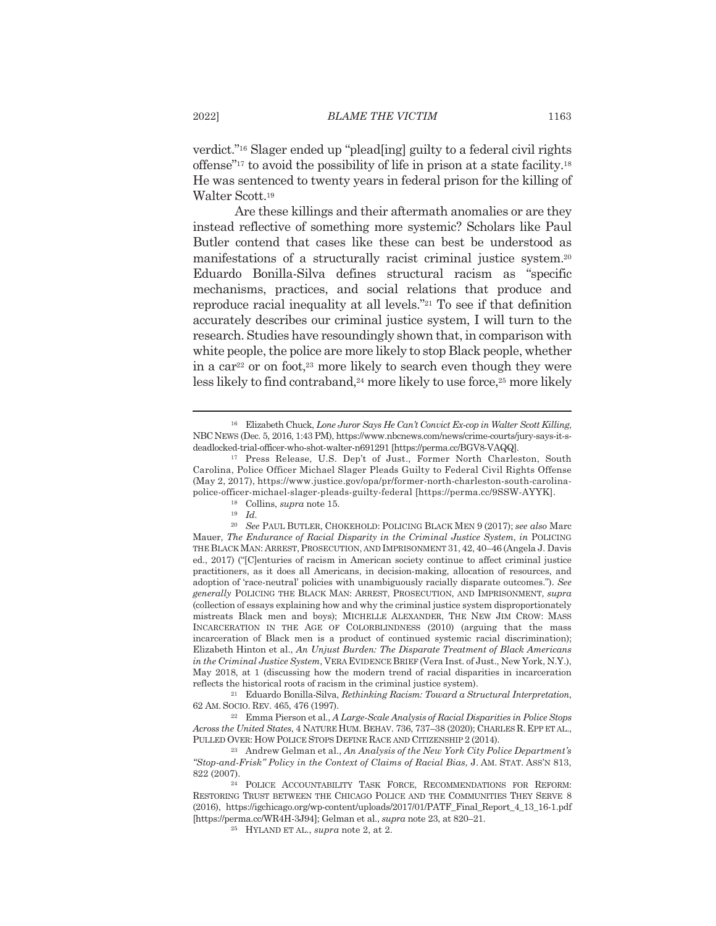verdict."<sup>16</sup> Slager ended up "plead[ing] guilty to a federal civil rights offense"<sup>17</sup> to avoid the possibility of life in prison at a state facility.<sup>18</sup> He was sentenced to twenty years in federal prison for the killing of Walter Scott.<sup>19</sup>

Are these killings and their aftermath anomalies or are they instead reflective of something more systemic? Scholars like Paul Butler contend that cases like these can best be understood as manifestations of a structurally racist criminal justice system.<sup>20</sup> Eduardo Bonilla-Silva defines structural racism as "specific mechanisms, practices, and social relations that produce and reproduce racial inequality at all levels."<sup>21</sup> To see if that definition accurately describes our criminal justice system, I will turn to the research. Studies have resoundingly shown that, in comparison with white people, the police are more likely to stop Black people, whether in a car<sup>22</sup> or on foot,<sup>23</sup> more likely to search even though they were less likely to find contraband,<sup>24</sup> more likely to use force,<sup>25</sup> more likely

<sup>21</sup> Eduardo Bonilla-Silva, Rethinking Racism: Toward a Structural Interpretation, 62 AM. SOCIO. REV. 465, 476 (1997).

<sup>22</sup> Emma Pierson et al., *A Large-Scale Analysis of Racial Disparities in Police Stops* Across the United States, 4 NATURE HUM. BEHAV. 736, 737-38 (2020); CHARLES R. EPP ET AL., PULLED OVER: HOW POLICE STOPS DEFINE RACE AND CITIZENSHIP 2 (2014).

 $^{23}$  Andrew Gelman et al., An Analysis of the New York City Police Department's "Stop-and-Frisk" Policy in the Context of Claims of Racial Bias, J. AM. STAT. ASS'N 813, 822 (2007).

<sup>&</sup>lt;sup>16</sup> Elizabeth Chuck, Lone Juror Says He Can't Convict Ex-cop in Walter Scott Killing, NBC NEWS (Dec. 5, 2016, 1:43 PM), https://www.nbcnews.com/news/crime-courts/jury-says-it-sdeadlocked-trial-officer-who-shot-walter-n691291 [https://perma.cc/BGV8-VAQQ].

<sup>&</sup>lt;sup>17</sup> Press Release, U.S. Dep't of Just., Former North Charleston, South Carolina, Police Officer Michael Slager Pleads Guilty to Federal Civil Rights Offense (May 2, 2017), https://www.justice.gov/opa/pr/former-north-charleston-south-carolinapolice-officer-michael-slager-pleads-guilty-federal [https://perma.cc/9SSW-AYYK].

<sup>&</sup>lt;sup>18</sup> Collins, *supra* note 15.

 $19$  Id.

 $^{20}$  See PAUL BUTLER, CHOKEHOLD: POLICING BLACK MEN 9 (2017); see also Marc Mauer, The Endurance of Racial Disparity in the Criminal Justice System, in POLICING THE BLACK MAN: ARREST, PROSECUTION, AND IMPRISONMENT 31, 42, 40-46 (Angela J. Davis ed., 2017) ("[C]enturies of racism in American society continue to affect criminal justice practitioners, as it does all Americans, in decision-making, allocation of resources, and adoption of 'race-neutral' policies with unambiguously racially disparate outcomes."). See  $\,generally$  POLICING THE BLACK MAN: ARREST, PROSECUTION, AND IMPRISONMENT,  $\,supra$ (collection of essays explaining how and why the criminal justice system disproportionately mistreats Black men and boys); MICHELLE ALEXANDER, THE NEW JIM CROW: MASS INCARCERATION IN THE AGE OF COLORBLINDNESS (2010) (arguing that the mass incarceration of Black men is a product of continued systemic racial discrimination); Elizabeth Hinton et al., An Unjust Burden: The Disparate Treatment of Black Americans in the Criminal Justice System, VERA EVIDENCE BRIEF (Vera Inst. of Just., New York, N.Y.), May 2018, at 1 (discussing how the modern trend of racial disparities in incarceration reflects the historical roots of racism in the criminal justice system).

<sup>&</sup>lt;sup>24</sup> POLICE ACCOUNTABILITY TASK FORCE, RECOMMENDATIONS FOR REFORM: RESTORING TRUST BETWEEN THE CHICAGO POLICE AND THE COMMUNITIES THEY SERVE 8 (2016), https://igchicago.org/wp-content/uploads/2017/01/PATF\_Final\_Report\_4\_13\_16-1.pdf [https://perma.cc/WR4H-3J94]; Gelman et al., *supra* note 23, at 820-21.

<sup>&</sup>lt;sup>25</sup> HYLAND ET AL., *supra* note 2, at 2.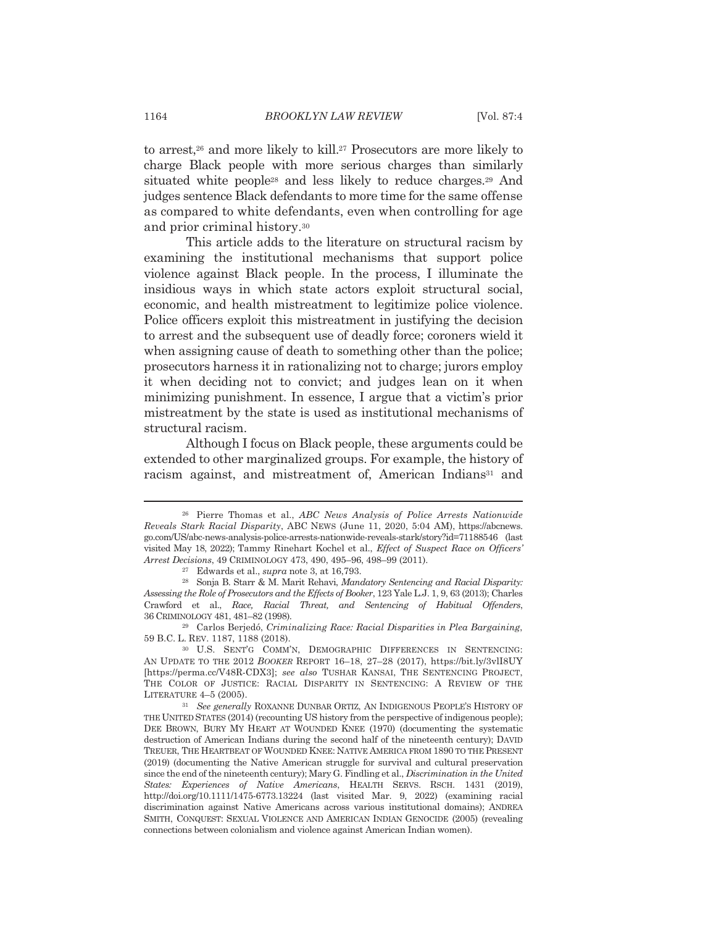to arrest,<sup>26</sup> and more likely to kill.<sup>27</sup> Prosecutors are more likely to charge Black people with more serious charges than similarly situated white people<sup>28</sup> and less likely to reduce charges.<sup>29</sup> And judges sentence Black defendants to more time for the same offense as compared to white defendants, even when controlling for age and prior criminal history.<sup>30</sup>

This article adds to the literature on structural racism by examining the institutional mechanisms that support police violence against Black people. In the process, I illuminate the insidious ways in which state actors exploit structural social, economic, and health mistreatment to legitimize police violence. Police officers exploit this mistreatment in justifying the decision to arrest and the subsequent use of deadly force; coroners wield it when assigning cause of death to something other than the police; prosecutors harness it in rationalizing not to charge; jurors employ it when deciding not to convict; and judges lean on it when minimizing punishment. In essence, I argue that a victim's prior mistreatment by the state is used as institutional mechanisms of structural racism.

Although I focus on Black people, these arguments could be extended to other marginalized groups. For example, the history of racism against, and mistreatment of, American Indians<sup>31</sup> and

<sup>&</sup>lt;sup>26</sup> Pierre Thomas et al., ABC News Analysis of Police Arrests Nationwide Reveals Stark Racial Disparity, ABC NEWS (June 11, 2020, 5:04 AM), https://abcnews. go.com/US/abc-news-analysis-police-arrests-nationwide-reveals-stark/story?id=71188546 (last visited May 18, 2022); Tammy Rinehart Kochel et al., *Effect of Suspect Race on Officers'* Arrest Decisions, 49 CRIMINOLOGY 473, 490, 495-96, 498-99 (2011).

<sup>&</sup>lt;sup>27</sup> Edwards et al., *supra* note 3, at 16,793.

<sup>&</sup>lt;sup>28</sup> Sonja B. Starr & M. Marit Rehavi, Mandatory Sentencing and Racial Disparity: Assessing the Role of Prosecutors and the Effects of Booker, 123 Yale L.J. 1, 9, 63 (2013); Charles Crawford et al., Race, Racial Threat, and Sentencing of Habitual Offenders, 36 CRIMINOLOGY 481, 481-82 (1998).

<sup>&</sup>lt;sup>29</sup> Carlos Berjedó, Criminalizing Race: Racial Disparities in Plea Bargaining, 59 B.C. L. REV. 1187, 1188 (2018).

<sup>&</sup>lt;sup>30</sup> U.S. SENT'G COMM'N, DEMOGRAPHIC DIFFERENCES IN SENTENCING: AN UPDATE TO THE 2012 BOOKER REPORT 16-18, 27-28 (2017), https://bit.ly/3vlI8UY [https://perma.cc/V48R-CDX3]; see also TUSHAR KANSAI, THE SENTENCING PROJECT, THE COLOR OF JUSTICE: RACIAL DISPARITY IN SENTENCING: A REVIEW OF THE LITERATURE 4-5 (2005).

<sup>&</sup>lt;sup>31</sup> See generally ROXANNE DUNBAR ORTIZ, AN INDIGENOUS PEOPLE'S HISTORY OF THE UNITED STATES (2014) (recounting US history from the perspective of indigenous people); DEE BROWN, BURY MY HEART AT WOUNDED KNEE (1970) (documenting the systematic destruction of American Indians during the second half of the nineteenth century); DAVID TREUER, THE HEARTBEAT OF WOUNDED KNEE: NATIVE AMERICA FROM 1890 TO THE PRESENT (2019) (documenting the Native American struggle for survival and cultural preservation since the end of the nineteenth century); Mary G. Findling et al., Discrimination in the United States: Experiences of Native Americans, HEALTH SERVS. RSCH. 1431 (2019), http://doi.org/10.1111/1475-6773.13224 (last visited Mar. 9, 2022) (examining racial discrimination against Native Americans across various institutional domains); ANDREA SMITH, CONQUEST: SEXUAL VIOLENCE AND AMERICAN INDIAN GENOCIDE (2005) (revealing connections between colonialism and violence against American Indian women).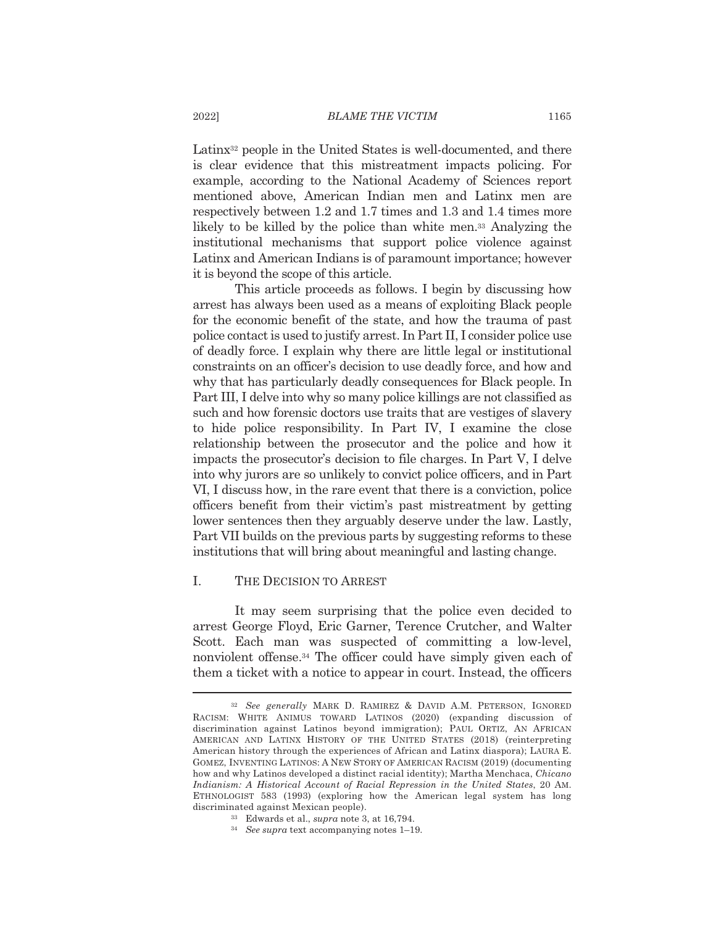Latinx<sup>32</sup> people in the United States is well-documented, and there is clear evidence that this mistreatment impacts policing. For example, according to the National Academy of Sciences report mentioned above, American Indian men and Latinx men are respectively between 1.2 and 1.7 times and 1.3 and 1.4 times more likely to be killed by the police than white men.<sup>33</sup> Analyzing the institutional mechanisms that support police violence against Latinx and American Indians is of paramount importance; however it is beyond the scope of this article.

This article proceeds as follows. I begin by discussing how arrest has always been used as a means of exploiting Black people for the economic benefit of the state, and how the trauma of past police contact is used to justify arrest. In Part II, I consider police use of deadly force. I explain why there are little legal or institutional constraints on an officer's decision to use deadly force, and how and why that has particularly deadly consequences for Black people. In Part III, I delve into why so many police killings are not classified as such and how forensic doctors use traits that are vestiges of slavery to hide police responsibility. In Part IV, I examine the close relationship between the prosecutor and the police and how it impacts the prosecutor's decision to file charges. In Part V, I delve into why jurors are so unlikely to convict police officers, and in Part VI, I discuss how, in the rare event that there is a conviction, police officers benefit from their victim's past mistreatment by getting lower sentences then they arguably deserve under the law. Lastly, Part VII builds on the previous parts by suggesting reforms to these institutions that will bring about meaningful and lasting change.

#### $\mathbf{L}$ THE DECISION TO ARREST

It may seem surprising that the police even decided to arrest George Floyd, Eric Garner, Terence Crutcher, and Walter Scott. Each man was suspected of committing a low-level, nonviolent offense.<sup>34</sup> The officer could have simply given each of them a ticket with a notice to appear in court. Instead, the officers

- <sup>33</sup> Edwards et al., *supra* note 3, at 16,794.
- <sup>34</sup> See supra text accompanying notes 1-19.

2022]

<sup>&</sup>lt;sup>32</sup> See generally MARK D. RAMIREZ & DAVID A.M. PETERSON, IGNORED RACISM: WHITE ANIMUS TOWARD LATINOS (2020) (expanding discussion of discrimination against Latinos beyond immigration); PAUL ORTIZ, AN AFRICAN AMERICAN AND LATINX HISTORY OF THE UNITED STATES (2018) (reinterpreting American history through the experiences of African and Latinx diaspora); LAURA E. GOMEZ, INVENTING LATINOS: A NEW STORY OF AMERICAN RACISM (2019) (documenting how and why Latinos developed a distinct racial identity); Martha Menchaca, Chicano Indianism: A Historical Account of Racial Repression in the United States, 20 AM. ETHNOLOGIST 583 (1993) (exploring how the American legal system has long discriminated against Mexican people).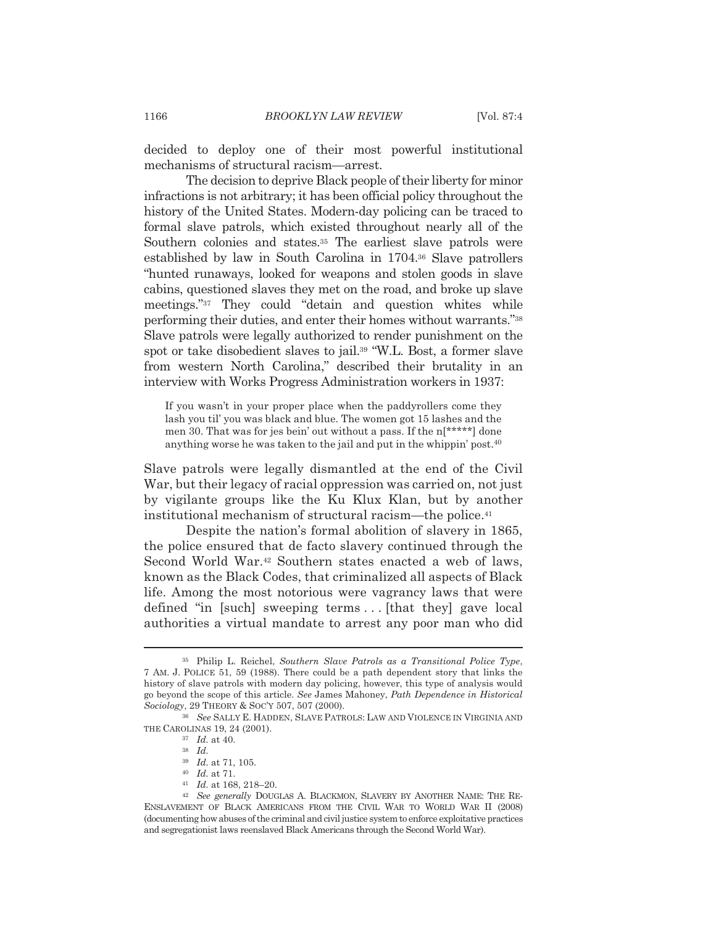decided to deploy one of their most powerful institutional mechanisms of structural racism—arrest.

The decision to deprive Black people of their liberty for minor infractions is not arbitrary; it has been official policy throughout the history of the United States. Modern-day policing can be traced to formal slave patrols, which existed throughout nearly all of the Southern colonies and states.<sup>35</sup> The earliest slave patrols were established by law in South Carolina in 1704.<sup>36</sup> Slave patrollers "hunted runaways, looked for weapons and stolen goods in slave cabins, questioned slaves they met on the road, and broke up slave meetings."<sup>37</sup> They could "detain and question whites while performing their duties, and enter their homes without warrants."<sup>38</sup> Slave patrols were legally authorized to render punishment on the spot or take disobedient slaves to jail.<sup>39</sup> "W.L. Bost, a former slave from western North Carolina," described their brutality in an interview with Works Progress Administration workers in 1937:

If you wasn't in your proper place when the paddyrollers come they lash you til' you was black and blue. The women got 15 lashes and the men 30. That was for jes bein' out without a pass. If the n[\*\*\*\*\*] done anything worse he was taken to the jail and put in the whippin' post.<sup>40</sup>

Slave patrols were legally dismantled at the end of the Civil War, but their legacy of racial oppression was carried on, not just by vigilante groups like the Ku Klux Klan, but by another institutional mechanism of structural racism—the police.<sup>41</sup>

Despite the nation's formal abolition of slavery in 1865, the police ensured that de facto slavery continued through the Second World War.<sup>42</sup> Southern states enacted a web of laws, known as the Black Codes, that criminalized all aspects of Black life. Among the most notorious were vagrancy laws that were defined "in [such] sweeping terms... [that they] gave local authorities a virtual mandate to arrest any poor man who did

- $^{\rm 40}$   $\,$   $\! Id.$  at 71.
- $41$  *Id.* at 168, 218-20.

<sup>&</sup>lt;sup>35</sup> Philip L. Reichel, Southern Slave Patrols as a Transitional Police Type, 7 AM. J. POLICE 51, 59 (1988). There could be a path dependent story that links the history of slave patrols with modern day policing, however, this type of analysis would go beyond the scope of this article. See James Mahoney, Path Dependence in Historical Sociology, 29 THEORY & SOC'Y 507, 507 (2000).

<sup>&</sup>lt;sup>36</sup> See SALLY E. HADDEN, SLAVE PATROLS: LAW AND VIOLENCE IN VIRGINIA AND THE CAROLINAS 19, 24 (2001).

 $37$  *Id.* at 40.

 $38$  *Id.* 

 $39$  Id. at 71, 105.

<sup>&</sup>lt;sup>42</sup> See generally DOUGLAS A. BLACKMON, SLAVERY BY ANOTHER NAME: THE RE-ENSLAVEMENT OF BLACK AMERICANS FROM THE CIVIL WAR TO WORLD WAR II (2008) (documenting how abuses of the criminal and civil justice system to enforce exploitative practices and segregationist laws reenslaved Black Americans through the Second World War).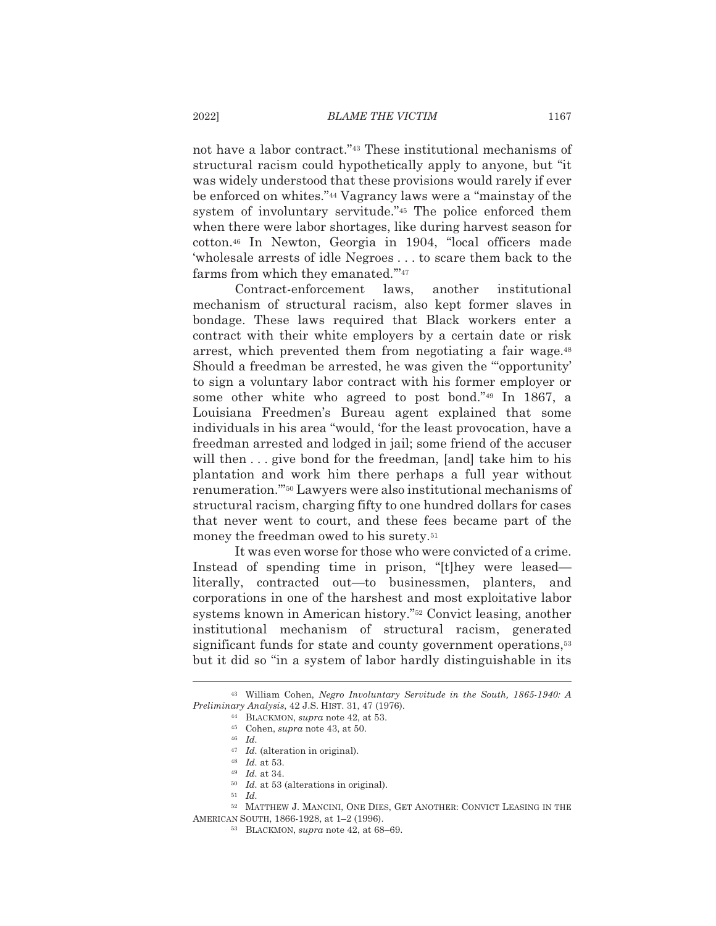not have a labor contract."<sup>43</sup> These institutional mechanisms of structural racism could hypothetically apply to anyone, but "it" was widely understood that these provisions would rarely if ever be enforced on whites."<sup>44</sup> Vagrancy laws were a "mainstay of the system of involuntary servitude."<sup>45</sup> The police enforced them when there were labor shortages, like during harvest season for cotton.<sup>46</sup> In Newton, Georgia in 1904, "local officers made 'wholesale arrests of idle Negroes . . . to scare them back to the farms from which they emanated."<sup>47</sup>

Contract-enforcement laws. another institutional mechanism of structural racism, also kept former slaves in bondage. These laws required that Black workers enter a contract with their white employers by a certain date or risk arrest, which prevented them from negotiating a fair wage.<sup>48</sup> Should a freedman be arrested, he was given the "opportunity' to sign a voluntary labor contract with his former employer or some other white who agreed to post bond."49 In 1867, a Louisiana Freedmen's Bureau agent explained that some individuals in his area "would, 'for the least provocation, have a freedman arrested and lodged in jail; some friend of the accuser will then ... give bond for the freedman, [and] take him to his plantation and work him there perhaps a full year without renumeration."<sup>50</sup> Lawyers were also institutional mechanisms of structural racism, charging fifty to one hundred dollars for cases that never went to court, and these fees became part of the money the freedman owed to his surety.<sup>51</sup>

It was even worse for those who were convicted of a crime. Instead of spending time in prison, "[t]hey were leased literally, contracted out—to businessmen, planters, and corporations in one of the harshest and most exploitative labor systems known in American history."<sup>52</sup> Convict leasing, another institutional mechanism of structural racism, generated significant funds for state and county government operations,<sup>53</sup> but it did so "in a system of labor hardly distinguishable in its

 $50$  *Id.* at 53 (alterations in original).

<sup>43</sup> William Cohen, Negro Involuntary Servitude in the South, 1865-1940: A Preliminary Analysis, 42 J.S. HIST. 31, 47 (1976).

<sup>&</sup>lt;sup>44</sup> BLACKMON, *supra* note 42, at 53.

<sup>&</sup>lt;sup>45</sup> Cohen, *supra* note 43, at 50.

 $46$  *Id.* 

 $47$  *Id.* (alteration in original).

 $48$  *Id.* at 53.

 $49$  *Id.* at 34.

 $^{51}$   $\,$   $Id.$ 

<sup>&</sup>lt;sup>52</sup> MATTHEW J. MANCINI, ONE DIES, GET ANOTHER: CONVICT LEASING IN THE AMERICAN SOUTH, 1866-1928, at 1-2 (1996).

<sup>&</sup>lt;sup>53</sup> BLACKMON, *supra* note 42, at 68-69.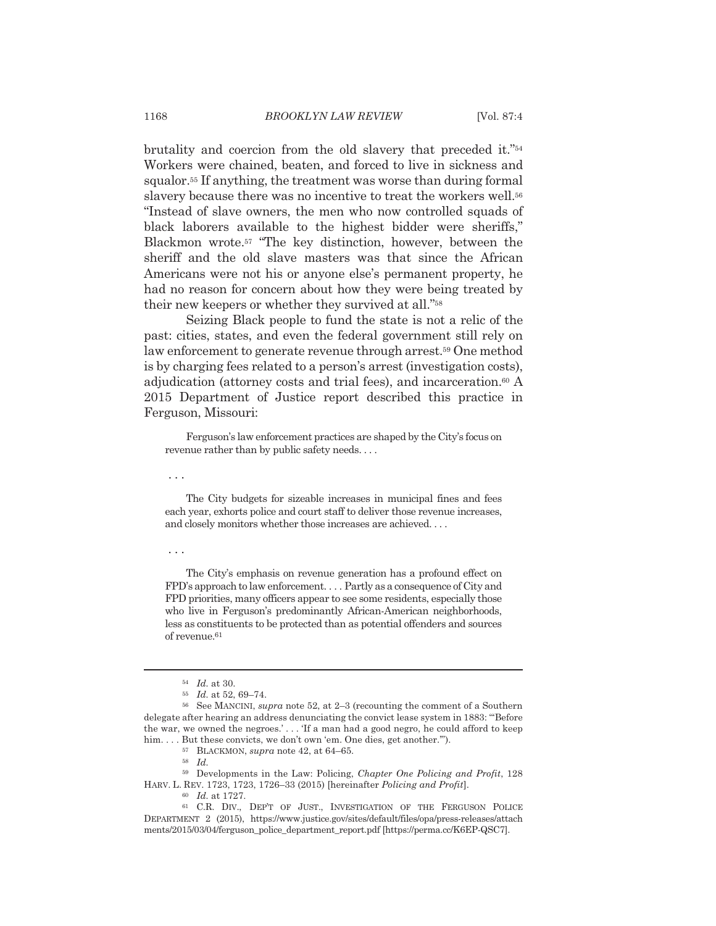brutality and coercion from the old slavery that preceded it."<sup>54</sup> Workers were chained, beaten, and forced to live in sickness and squalor.<sup>55</sup> If anything, the treatment was worse than during formal slavery because there was no incentive to treat the workers well.<sup>56</sup> "Instead of slave owners, the men who now controlled squads of black laborers available to the highest bidder were sheriffs," Blackmon wrote.<sup>57</sup> "The key distinction, however, between the sheriff and the old slave masters was that since the African Americans were not his or anyone else's permanent property, he had no reason for concern about how they were being treated by their new keepers or whether they survived at all."<sup>58</sup>

Seizing Black people to fund the state is not a relic of the past: cities, states, and even the federal government still rely on law enforcement to generate revenue through arrest.<sup>59</sup> One method is by charging fees related to a person's arrest (investigation costs), adjudication (attorney costs and trial fees), and incarceration.<sup>60</sup> A 2015 Department of Justice report described this practice in Ferguson, Missouri:

Ferguson's law enforcement practices are shaped by the City's focus on revenue rather than by public safety needs....

. . .

The City budgets for sizeable increases in municipal fines and fees each year, exhorts police and court staff to deliver those revenue increases, and closely monitors whether those increases are achieved....

 $\ldots$ 

The City's emphasis on revenue generation has a profound effect on FPD's approach to law enforcement.... Partly as a consequence of City and FPD priorities, many officers appear to see some residents, especially those who live in Ferguson's predominantly African-American neighborhoods, less as constituents to be protected than as potential offenders and sources of revenue.<sup>61</sup>

 $54$  *Id* at 30

<sup>&</sup>lt;sup>55</sup> *Id.* at 52, 69-74.

<sup>&</sup>lt;sup>56</sup> See MANCINI, *supra* note 52, at 2-3 (recounting the comment of a Southern delegate after hearing an address denunciating the convict lease system in 1883: "Before the war, we owned the negroes.'... 'If a man had a good negro, he could afford to keep him....But these convicts, we don't own 'em. One dies, get another."").

<sup>&</sup>lt;sup>57</sup> BLACKMON, *supra* note 42, at 64-65.

 $58$   $Id.$ 

<sup>&</sup>lt;sup>59</sup> Developments in the Law: Policing, Chapter One Policing and Profit, 128 HARV. L. REV. 1723, 1723, 1726-33 (2015) [hereinafter Policing and Profit].

 $60$  *Id.* at 1727.

<sup>&</sup>lt;sup>61</sup> C.R. DIV., DEP'T OF JUST., INVESTIGATION OF THE FERGUSON POLICE DEPARTMENT 2 (2015), https://www.justice.gov/sites/default/files/opa/press-releases/attach ments/2015/03/04/ferguson\_police\_department\_report.pdf [https://perma.cc/K6EP-QSC7].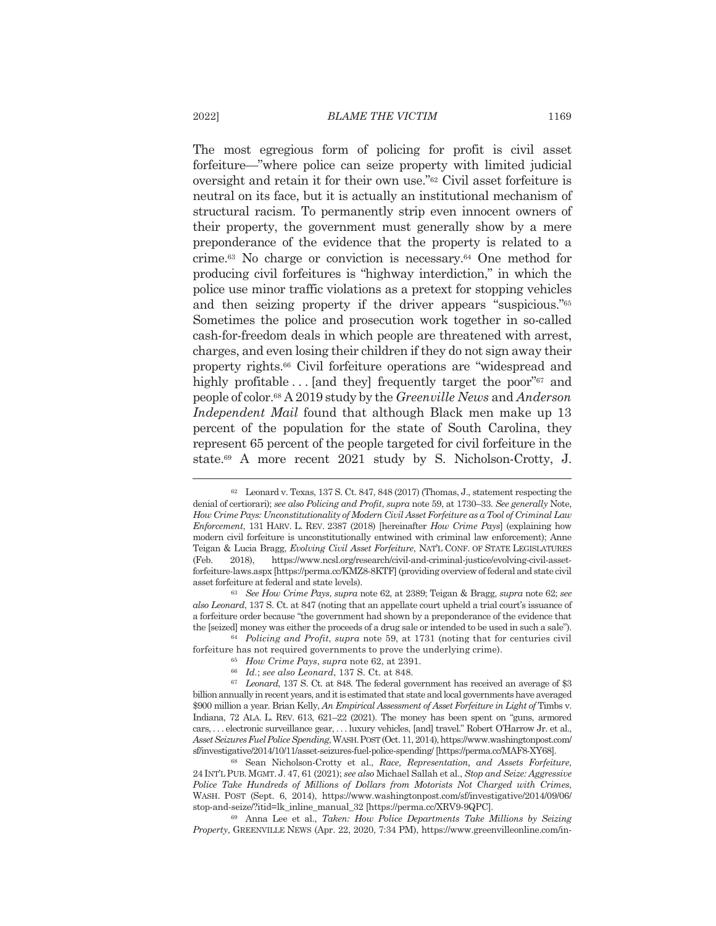The most egregious form of policing for profit is civil asset forfeiture—"where police can seize property with limited judicial oversight and retain it for their own use."<sup>62</sup> Civil asset forfeiture is neutral on its face, but it is actually an institutional mechanism of structural racism. To permanently strip even innocent owners of their property, the government must generally show by a mere preponderance of the evidence that the property is related to a crime.<sup>63</sup> No charge or conviction is necessary.<sup>64</sup> One method for producing civil forfeitures is "highway interdiction," in which the police use minor traffic violations as a pretext for stopping vehicles and then seizing property if the driver appears "suspicious."<sup>65</sup> Sometimes the police and prosecution work together in so-called cash-for-freedom deals in which people are threatened with arrest, charges, and even losing their children if they do not sign away their property rights.<sup>66</sup> Civil forfeiture operations are "widespread and highly profitable... [and they] frequently target the poor" $67$  and people of color.<sup>68</sup> A 2019 study by the *Greenville News* and *Anderson Independent Mail* found that although Black men make up 13 percent of the population for the state of South Carolina, they represent 65 percent of the people targeted for civil forfeiture in the state.<sup>69</sup> A more recent 2021 study by S. Nicholson-Crotty, J.

forfeiture has not required governments to prove the underlying crime).

<sup>69</sup> Anna Lee et al., Taken: How Police Departments Take Millions by Seizing Property, GREENVILLE NEWS (Apr. 22, 2020, 7:34 PM), https://www.greenvilleonline.com/in-

<sup>&</sup>lt;sup>62</sup> Leonard v. Texas, 137 S. Ct. 847, 848 (2017) (Thomas, J., statement respecting the denial of certiorari); see also Policing and Profit, supra note 59, at 1730–33. See generally Note, How Crime Pays: Unconstitutionality of Modern Civil Asset Forfeiture as a Tool of Criminal Law Enforcement, 131 HARV. L. REV. 2387 (2018) [hereinafter How Crime Pays] (explaining how modern civil forfeiture is unconstitutionally entwined with criminal law enforcement); Anne Teigan & Lucia Bragg, Evolving Civil Asset Forfeiture, NAT'L CONF. OF STATE LEGISLATURES (Feb. 2018). https://www.ncsl.org/research/civil-and-criminal-justice/evolving-civil-assetforfeiture-laws.aspx [https://perma.cc/KMZ8-8KTF] (providing overview of federal and state civil asset forfeiture at federal and state levels).

<sup>63</sup> See How Crime Pays, supra note 62, at 2389; Teigan & Bragg, supra note 62; see also Leonard, 137 S. Ct. at 847 (noting that an appellate court upheld a trial court's issuance of a forfeiture order because "the government had shown by a preponderance of the evidence that the [seized] money was either the proceeds of a drug sale or intended to be used in such a sale"). <sup>64</sup> Policing and Profit, supra note 59, at 1731 (noting that for centuries civil

<sup>&</sup>lt;sup>65</sup> How Crime Pays, supra note 62, at 2391.

<sup>&</sup>lt;sup>66</sup> Id.; see also Leonard, 137 S. Ct. at 848.

 $^{67}$  Leonard, 137 S. Ct. at 848. The federal government has received an average of \$3 billion annually in recent years, and it is estimated that state and local governments have averaged \$900 million a year. Brian Kelly, An Empirical Assessment of Asset Forfeiture in Light of Timbs v. Indiana, 72 ALA, L. REV. 613, 621-22 (2021). The money has been spent on "guns, armored cars, ... electronic surveillance gear, ... luxury vehicles, [and] travel." Robert O'Harrow Jr. et al., Asset Seizures Fuel Police Spending, WASH. POST (Oct. 11, 2014), https://www.washingtonpost.com/ sf/investigative/2014/10/11/asset-seizures-fuel-police-spending/ [https://perma.cc/MAF8-XY68].

<sup>&</sup>lt;sup>68</sup> Sean Nicholson-Crotty et al., Race, Representation, and Assets Forfeiture, 24 INT'L PUB. MGMT. J. 47, 61 (2021); see also Michael Sallah et al., Stop and Seize: Aggressive Police Take Hundreds of Millions of Dollars from Motorists Not Charged with Crimes, WASH. POST (Sept. 6, 2014), https://www.washingtonpost.com/sf/investigative/2014/09/06/ stop-and-seize/?itid=lk\_inline\_manual\_32 [https://perma.cc/XRV9-9QPC].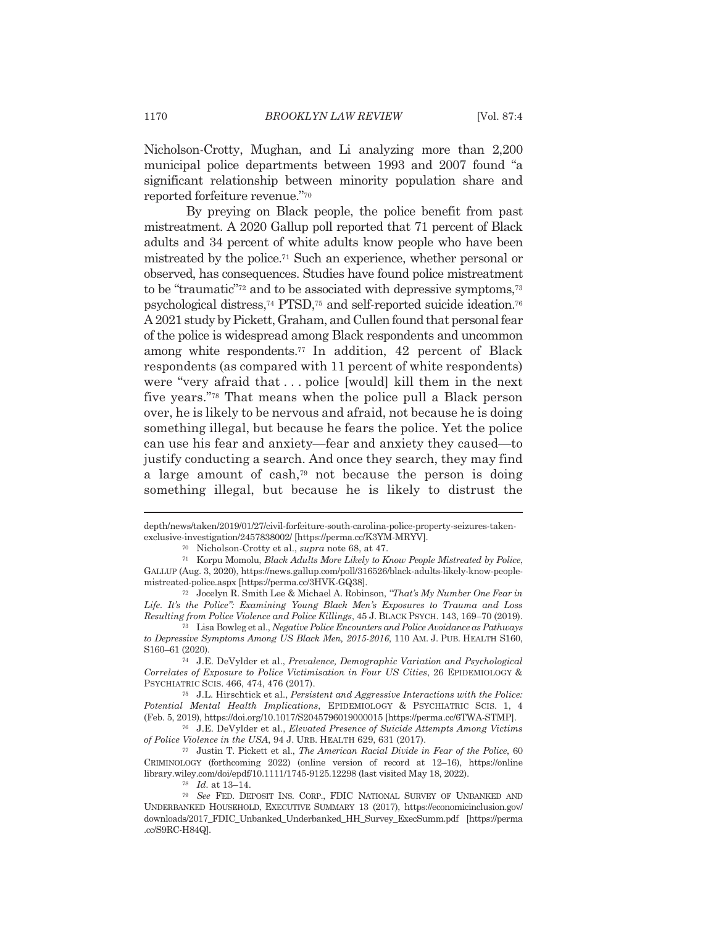Nicholson-Crotty, Mughan, and Li analyzing more than 2,200 municipal police departments between 1993 and 2007 found "a significant relationship between minority population share and reported forfeiture revenue."70

By preying on Black people, the police benefit from past mistreatment. A 2020 Gallup poll reported that 71 percent of Black adults and 34 percent of white adults know people who have been mistreated by the police.<sup>71</sup> Such an experience, whether personal or observed, has consequences. Studies have found police mistreatment to be "traumatic"<sup>72</sup> and to be associated with depressive symptoms,<sup>73</sup> psychological distress,<sup>74</sup> PTSD,<sup>75</sup> and self-reported suicide ideation.<sup>76</sup> A 2021 study by Pickett, Graham, and Cullen found that personal fear of the police is widespread among Black respondents and uncommon among white respondents.<sup>77</sup> In addition, 42 percent of Black respondents (as compared with 11 percent of white respondents) were "very afraid that ... police [would] kill them in the next five years."<sup>78</sup> That means when the police pull a Black person over, he is likely to be nervous and afraid, not because he is doing something illegal, but because he fears the police. Yet the police can use his fear and anxiety—fear and anxiety they caused—to justify conducting a search. And once they search, they may find a large amount of cash,<sup>79</sup> not because the person is doing something illegal, but because he is likely to distrust the

depth/news/taken/2019/01/27/civil-forfeiture-south-carolina-police-property-seizures-takenexclusive-investigation/2457838002/ [https://perma.cc/K3YM-MRYV].

<sup>&</sup>lt;sup>70</sup> Nicholson-Crotty et al., *supra* note 68, at 47.

<sup>71</sup> Korpu Momolu, Black Adults More Likely to Know People Mistreated by Police, GALLUP (Aug. 3, 2020), https://news.gallup.com/poll/316526/black-adults-likely-know-peoplemistreated-police.aspx [https://perma.cc/3HVK-GQ38].

<sup>&</sup>lt;sup>72</sup> Jocelyn R. Smith Lee & Michael A. Robinson, "That's My Number One Fear in Life. It's the Police": Examining Young Black Men's Exposures to Trauma and Loss Resulting from Police Violence and Police Killings, 45 J. BLACK PSYCH. 143, 169-70 (2019). <sup>73</sup> Lisa Bowleg et al., *Negative Police Encounters and Police Avoidance as Pathways* 

to Depressive Symptoms Among US Black Men, 2015-2016, 110 AM. J. PUB. HEALTH S160, S160-61 (2020).

<sup>74</sup> J.E. DeVylder et al., Prevalence, Demographic Variation and Psychological Correlates of Exposure to Police Victimisation in Four US Cities, 26 EPIDEMIOLOGY & PSYCHIATRIC SCIS. 466, 474, 476 (2017).

<sup>&</sup>lt;sup>75</sup> J.L. Hirschtick et al., *Persistent and Aggressive Interactions with the Police:* Potential Mental Health Implications, EPIDEMIOLOGY & PSYCHIATRIC SCIS. 1, 4 (Feb. 5, 2019), https://doi.org/10.1017/S2045796019000015 [https://perma.cc/6TWA-STMP].

<sup>&</sup>lt;sup>76</sup> J.E. DeVylder et al., *Elevated Presence of Suicide Attempts Among Victims* of Police Violence in the USA, 94 J. URB. HEALTH 629, 631 (2017).

<sup>77</sup> Justin T. Pickett et al., The American Racial Divide in Fear of the Police, 60 CRIMINOLOGY (forthcoming 2022) (online version of record at 12-16), https://online library.wiley.com/doi/epdf/10.1111/1745-9125.12298 (last visited May 18, 2022).

 $78$  *Id.* at 13-14.

<sup>&</sup>lt;sup>79</sup> See FED. DEPOSIT INS. CORP., FDIC NATIONAL SURVEY OF UNBANKED AND UNDERBANKED HOUSEHOLD, EXECUTIVE SUMMARY 13 (2017), https://economicinclusion.gov/ downloads/2017\_FDIC\_Unbanked\_Underbanked\_HH\_Survey\_ExecSumm.pdf [https://perma .cc/S9RC-H84Q].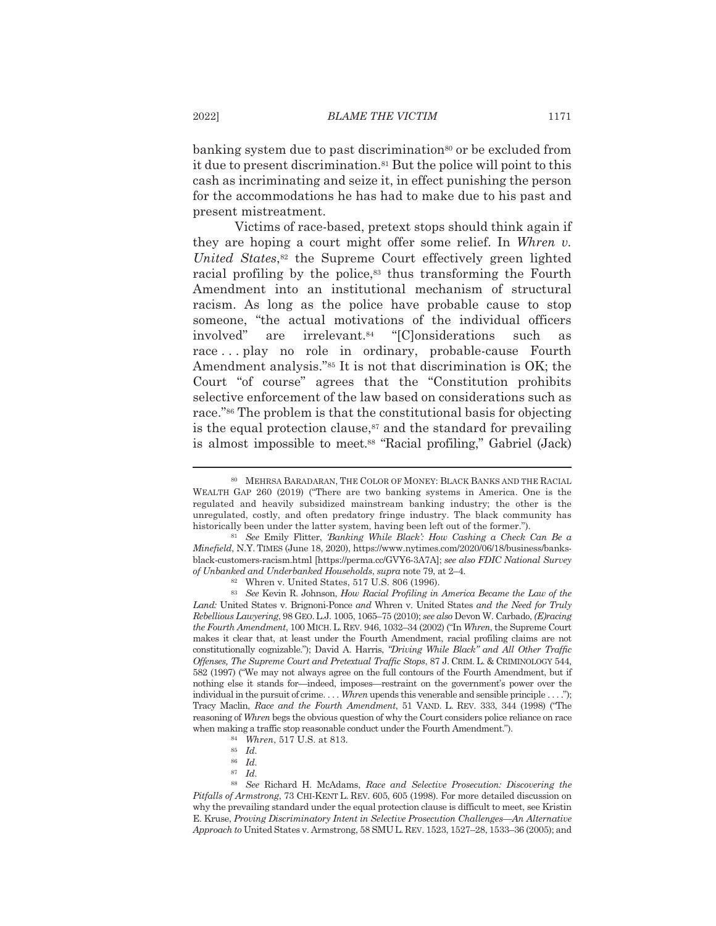banking system due to past discrimination<sup>80</sup> or be excluded from it due to present discrimination.<sup>81</sup> But the police will point to this cash as incriminating and seize it, in effect punishing the person for the accommodations he has had to make due to his past and present mistreatment.

Victims of race-based, pretext stops should think again if they are hoping a court might offer some relief. In Whren v. United States,<sup>82</sup> the Supreme Court effectively green lighted racial profiling by the police,<sup>83</sup> thus transforming the Fourth Amendment into an institutional mechanism of structural racism. As long as the police have probable cause to stop someone, "the actual motivations of the individual officers" are irrelevant.<sup>84</sup> "[Clonsiderations] involved" such as race...play no role in ordinary, probable-cause Fourth Amendment analysis."<sup>85</sup> It is not that discrimination is OK; the Court "of course" agrees that the "Constitution prohibits selective enforcement of the law based on considerations such as race."<sup>86</sup> The problem is that the constitutional basis for objecting is the equal protection clause,<sup>87</sup> and the standard for prevailing is almost impossible to meet.<sup>88</sup> "Racial profiling," Gabriel (Jack)

<sup>80</sup> MEHRSA BARADARAN, THE COLOR OF MONEY: BLACK BANKS AND THE RACIAL WEALTH GAP 260 (2019) ("There are two banking systems in America. One is the regulated and heavily subsidized mainstream banking industry; the other is the unregulated, costly, and often predatory fringe industry. The black community has historically been under the latter system, having been left out of the former.").

<sup>&</sup>lt;sup>81</sup> See Emily Flitter, *Banking While Black*': *How Cashing a Check Can Be a* Minefield, N.Y. TIMES (June 18, 2020), https://www.nytimes.com/2020/06/18/business/banksblack-customers-racism.html [https://perma.cc/GVY6-3A7A]; see also FDIC National Survey of Unbanked and Underbanked Households, supra note 79, at 2-4.

<sup>&</sup>lt;sup>82</sup> Whren v. United States, 517 U.S. 806 (1996).

<sup>&</sup>lt;sup>83</sup> See Kevin R. Johnson, How Racial Profiling in America Became the Law of the Land: United States v. Brignoni-Ponce and Whren v. United States and the Need for Truly Rebellious Lawyering, 98 GEO. L.J. 1005, 1065-75 (2010); see also Devon W. Carbado, (E)racing the Fourth Amendment, 100 MICH, L. REV. 946, 1032-34 (2002) ("In Whren, the Supreme Court" makes it clear that, at least under the Fourth Amendment, racial profiling claims are not constitutionally cognizable."); David A. Harris, "Driving While Black" and All Other Traffic Offenses, The Supreme Court and Pretextual Traffic Stops, 87 J. CRIM. L. & CRIMINOLOGY 544, 582 (1997) ("We may not always agree on the full contours of the Fourth Amendment, but if nothing else it stands for-indeed, imposes-restraint on the government's power over the individual in the pursuit of crime.... When upends this venerable and sensible principle...."); Tracy Maclin, Race and the Fourth Amendment, 51 VAND. L. REV. 333, 344 (1998) ("The reasoning of Whren begs the obvious question of why the Court considers police reliance on race when making a traffic stop reasonable conduct under the Fourth Amendment.").

<sup>&</sup>lt;sup>84</sup> Whren, 517 U.S. at 813.

 $85$  *Id.* 

<sup>86</sup> Id.

 $87$  *Id.* 

<sup>88</sup> See Richard H. McAdams, Race and Selective Prosecution: Discovering the Pitfalls of Armstrong, 73 CHI-KENT L. REV. 605, 605 (1998). For more detailed discussion on why the prevailing standard under the equal protection clause is difficult to meet, see Kristin E. Kruse, Proving Discriminatory Intent in Selective Prosecution Challenges—An Alternative Approach to United States v. Armstrong, 58 SMU L. REV. 1523, 1527-28, 1533-36 (2005); and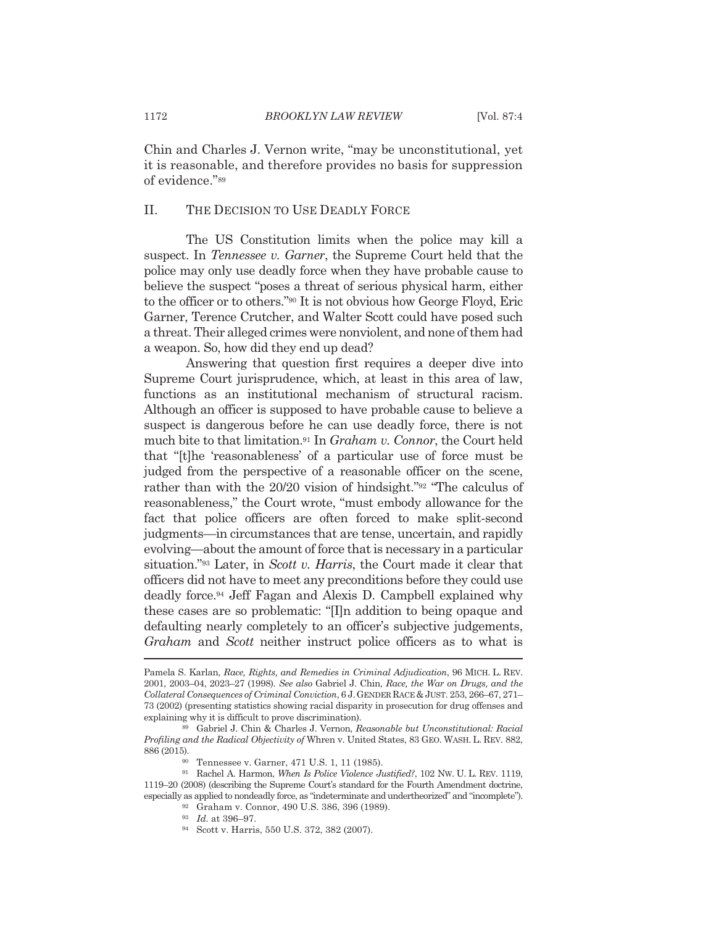Chin and Charles J. Vernon write, "may be unconstitutional, yet it is reasonable, and therefore provides no basis for suppression of evidence."89

#### П. THE DECISION TO USE DEADLY FORCE

The US Constitution limits when the police may kill a suspect. In *Tennessee v. Garner*, the Supreme Court held that the police may only use deadly force when they have probable cause to believe the suspect "poses a threat of serious physical harm, either to the officer or to others."<sup>90</sup> It is not obvious how George Floyd, Eric Garner, Terence Crutcher, and Walter Scott could have posed such a threat. Their alleged crimes were nonviolent, and none of them had a weapon. So, how did they end up dead?

Answering that question first requires a deeper dive into Supreme Court jurisprudence, which, at least in this area of law, functions as an institutional mechanism of structural racism. Although an officer is supposed to have probable cause to believe a suspect is dangerous before he can use deadly force, there is not much bite to that limitation.<sup>91</sup> In *Graham v. Connor*, the Court held that "[t] he 'reasonableness' of a particular use of force must be judged from the perspective of a reasonable officer on the scene, rather than with the 20/20 vision of hindsight."<sup>92</sup> "The calculus of reasonableness," the Court wrote, "must embody allowance for the fact that police officers are often forced to make split-second judgments—in circumstances that are tense, uncertain, and rapidly evolving—about the amount of force that is necessary in a particular situation."93 Later, in Scott v. Harris, the Court made it clear that officers did not have to meet any preconditions before they could use deadly force.<sup>94</sup> Jeff Fagan and Alexis D. Campbell explained why these cases are so problematic: "[I]n addition to being opaque and defaulting nearly completely to an officer's subjective judgements, Graham and Scott neither instruct police officers as to what is

Pamela S. Karlan, Race, Rights, and Remedies in Criminal Adjudication, 96 MICH. L. REV. 2001, 2003–04, 2023–27 (1998). See also Gabriel J. Chin, Race, the War on Drugs, and the Collateral Consequences of Criminal Conviction, 6 J. GENDER RACE & JUST. 253, 266-67, 271-73 (2002) (presenting statistics showing racial disparity in prosecution for drug offenses and explaining why it is difficult to prove discrimination).

<sup>89</sup> Gabriel J. Chin & Charles J. Vernon, Reasonable but Unconstitutional: Racial Profiling and the Radical Objectivity of Whren v. United States, 83 GEO. WASH. L. REV. 882, 886 (2015).

Tennessee v. Garner, 471 U.S. 1, 11 (1985).

<sup>91</sup> Rachel A. Harmon, When Is Police Violence Justified?, 102 NW. U. L. REV. 1119, 1119-20 (2008) (describing the Supreme Court's standard for the Fourth Amendment doctrine, especially as applied to nondeadly force, as "indeterminate and undertheorized" and "incomplete").

<sup>92</sup> Graham v. Connor, 490 U.S. 386, 396 (1989).

<sup>93</sup> *Id.* at 396-97.

<sup>94</sup> Scott v. Harris, 550 U.S. 372, 382 (2007).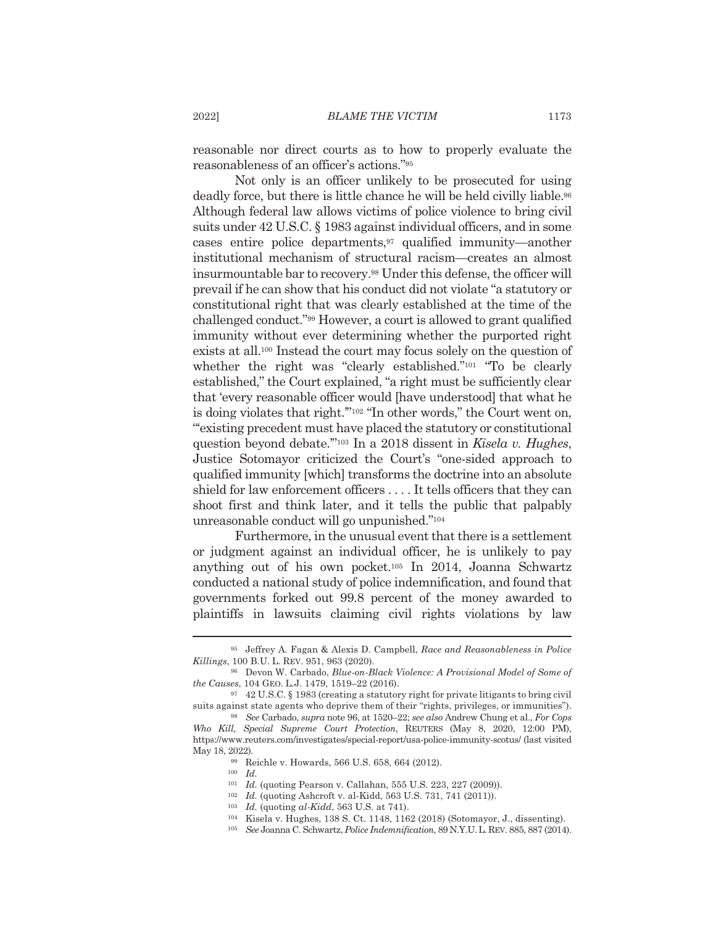reasonable nor direct courts as to how to properly evaluate the reasonableness of an officer's actions."<sup>95</sup>

Not only is an officer unlikely to be prosecuted for using deadly force, but there is little chance he will be held civilly liable.<sup>96</sup> Although federal law allows victims of police violence to bring civil suits under 42 U.S.C. § 1983 against individual officers, and in some cases entire police departments,<sup>97</sup> qualified immunity—another institutional mechanism of structural racism—creates an almost insurmountable bar to recovery.<sup>98</sup> Under this defense, the officer will prevail if he can show that his conduct did not violate "a statutory or constitutional right that was clearly established at the time of the challenged conduct."<sup>99</sup> However, a court is allowed to grant qualified immunity without ever determining whether the purported right exists at all.<sup>100</sup> Instead the court may focus solely on the question of whether the right was "clearly established."<sup>101</sup> "To be clearly established," the Court explained, "a right must be sufficiently clear that 'every reasonable officer would [have understood] that what he is doing violates that right."<sup>102</sup> "In other words," the Court went on, "existing precedent must have placed the statutory or constitutional question beyond debate."<sup>103</sup> In a 2018 dissent in Kisela v. Hughes, Justice Sotomayor criticized the Court's "one-sided approach to qualified immunity [which] transforms the doctrine into an absolute shield for law enforcement officers .... It tells officers that they can shoot first and think later, and it tells the public that palpably unreasonable conduct will go unpunished."<sup>104</sup>

Furthermore, in the unusual event that there is a settlement or judgment against an individual officer, he is unlikely to pay anything out of his own pocket.<sup>105</sup> In 2014, Joanna Schwartz conducted a national study of police indemnification, and found that governments forked out 99.8 percent of the money awarded to plaintiffs in lawsuits claiming civil rights violations by law

<sup>&</sup>lt;sup>95</sup> Jeffrey A. Fagan & Alexis D. Campbell, Race and Reasonableness in Police Killings, 100 B.U. L. REV. 951, 963 (2020).

<sup>&</sup>lt;sup>96</sup> Devon W. Carbado, *Blue-on-Black Violence: A Provisional Model of Some of* the Causes, 104 GEO. L.J. 1479, 1519-22 (2016).

<sup>97 42</sup> U.S.C. § 1983 (creating a statutory right for private litigants to bring civil suits against state agents who deprive them of their "rights, privileges, or immunities").

<sup>&</sup>lt;sup>98</sup> See Carbado, *supra* note 96, at 1520–22; see also Andrew Chung et al., For Cops Who Kill, Special Supreme Court Protection, REUTERS (May 8, 2020, 12:00 PM), https://www.reuters.com/investigates/special-report/usa-police-immunity-scotus/ (last visited May 18, 2022).

<sup>&</sup>lt;sup>99</sup> Reichle v. Howards, 566 U.S. 658, 664 (2012).

 $^{100}\;$   $Id.$ 

<sup>&</sup>lt;sup>101</sup> Id. (quoting Pearson v. Callahan, 555 U.S. 223, 227 (2009)).

<sup>102</sup> Id. (quoting Ashcroft v. al-Kidd, 563 U.S. 731, 741 (2011)).

 $103$  *Id.* (quoting al-Kidd, 563 U.S. at 741).

<sup>104</sup> Kisela v. Hughes, 138 S. Ct. 1148, 1162 (2018) (Sotomayor, J., dissenting).

<sup>105</sup> See Joanna C. Schwartz, Police Indemnification, 89 N.Y.U. L. REV. 885, 887 (2014).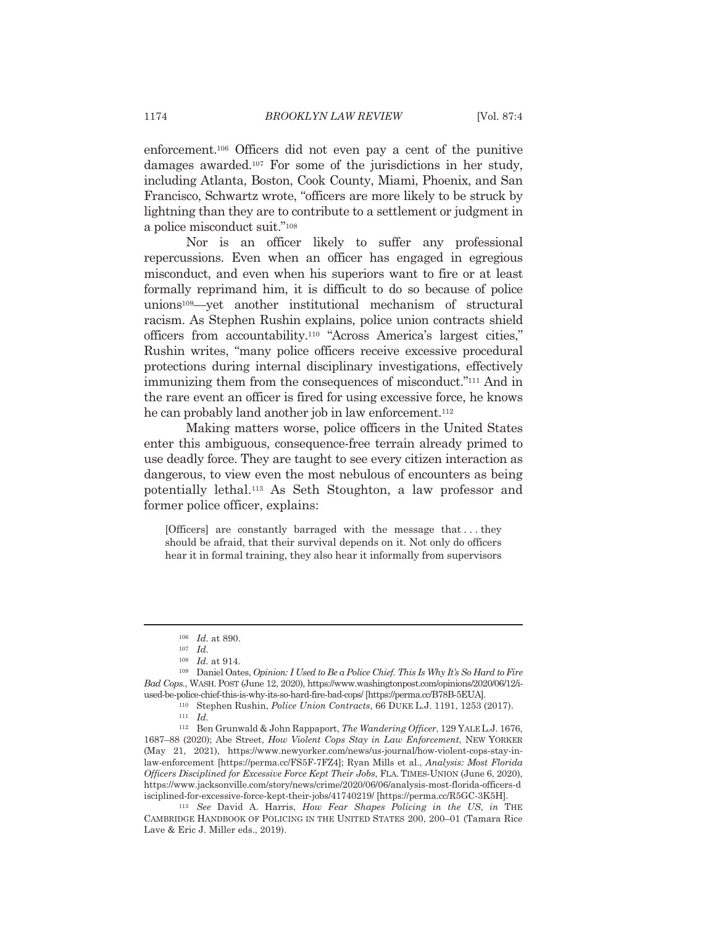enforcement.<sup>106</sup> Officers did not even pay a cent of the punitive damages awarded.<sup>107</sup> For some of the jurisdictions in her study, including Atlanta, Boston, Cook County, Miami, Phoenix, and San Francisco, Schwartz wrote, "officers are more likely to be struck by lightning than they are to contribute to a settlement or judgment in a police misconduct suit."108

Nor is an officer likely to suffer any professional repercussions. Even when an officer has engaged in egregious misconduct, and even when his superiors want to fire or at least formally reprimand him, it is difficult to do so because of police unions<sup>109</sup>—yet another institutional mechanism of structural racism. As Stephen Rushin explains, police union contracts shield officers from accountability.<sup>110</sup> "Across America's largest cities," Rushin writes, "many police officers receive excessive procedural protections during internal disciplinary investigations, effectively immunizing them from the consequences of misconduct."<sup>111</sup> And in the rare event an officer is fired for using excessive force, he knows he can probably land another job in law enforcement.<sup>112</sup>

Making matters worse, police officers in the United States enter this ambiguous, consequence-free terrain already primed to use deadly force. They are taught to see every citizen interaction as dangerous, to view even the most nebulous of encounters as being potentially lethal.<sup>113</sup> As Seth Stoughton, a law professor and former police officer, explains:

[Officers] are constantly barraged with the message that...they should be afraid, that their survival depends on it. Not only do officers hear it in formal training, they also hear it informally from supervisors

 $106$  *Id.* at 890.

 $107$  *Id.* 

 $108$  *Id.* at 914.

<sup>&</sup>lt;sup>109</sup> Daniel Oates, *Opinion: I Used to Be a Police Chief. This Is Why It's So Hard to Fire* Bad Cops., WASH. POST (June 12, 2020), https://www.washingtonpost.com/opinions/2020/06/12/iused-be-police-chief-this-is-why-its-so-hard-fire-bad-cops/ [https://perma.cc/B78B-5EUA].

<sup>&</sup>lt;sup>110</sup> Stephen Rushin, *Police Union Contracts*, 66 DUKE L.J. 1191, 1253 (2017).

 $111$  *Id.* 

<sup>&</sup>lt;sup>112</sup> Ben Grunwald & John Rappaport, The Wandering Officer, 129 YALE L.J. 1676, 1687–88 (2020); Abe Street, How Violent Cops Stay in Law Enforcement, NEW YORKER (May 21, 2021), https://www.newyorker.com/news/us-journal/how-violent-cops-stay-inlaw-enforcement [https://perma.cc/FS5F-7FZ4]; Ryan Mills et al., Analysis: Most Florida Officers Disciplined for Excessive Force Kept Their Jobs, FLA. TIMES-UNION (June 6, 2020), https://www.jacksonville.com/story/news/crime/2020/06/06/analysis-most-florida-officers-d isciplined-for-excessive-force-kept-their-jobs/41740219/ [https://perma.cc/R5GC-3K5H].

<sup>&</sup>lt;sup>113</sup> See David A. Harris, *How Fear Shapes Policing in the US*, *in* THE CAMBRIDGE HANDBOOK OF POLICING IN THE UNITED STATES 200, 200-01 (Tamara Rice Lave & Eric J. Miller eds., 2019).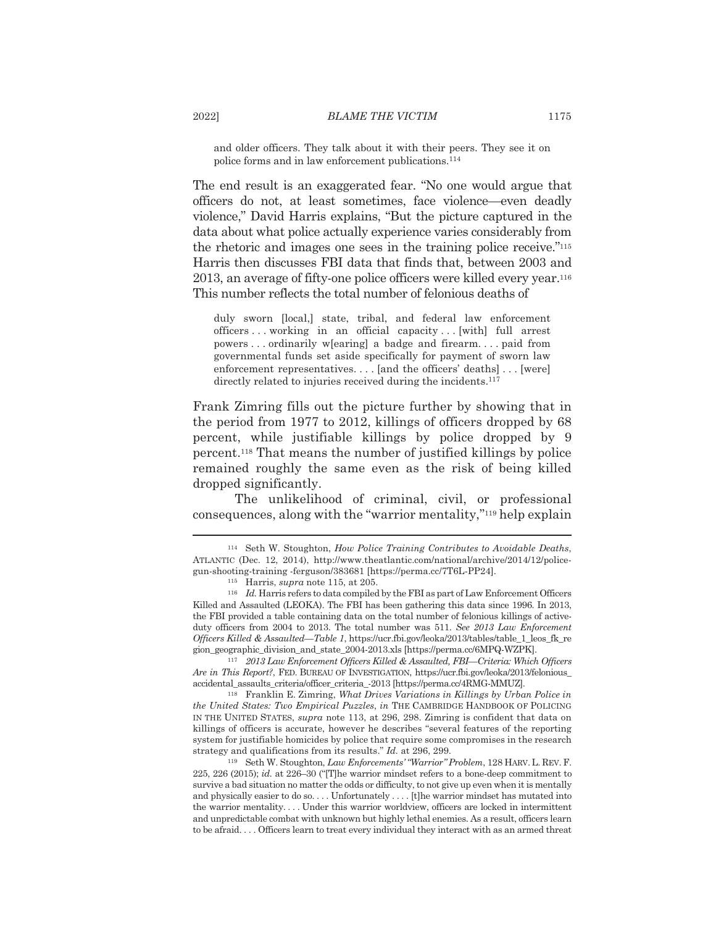and older officers. They talk about it with their peers. They see it on police forms and in law enforcement publications.<sup>114</sup>

The end result is an exaggerated fear. "No one would argue that officers do not, at least sometimes, face violence—even deadly violence," David Harris explains, "But the picture captured in the data about what police actually experience varies considerably from the rhetoric and images one sees in the training police receive."<sup>115</sup> Harris then discusses FBI data that finds that, between 2003 and  $2013$ , an average of fifty-one police officers were killed every year.<sup>116</sup> This number reflects the total number of felonious deaths of

duly sworn [local,] state, tribal, and federal law enforcement officers...working in an official capacity...[with] full arrest powers...ordinarily w[earing] a badge and firearm....paid from governmental funds set aside specifically for payment of sworn law enforcement representatives.... [and the officers' deaths]... [were] directly related to injuries received during the incidents.<sup>117</sup>

Frank Zimring fills out the picture further by showing that in the period from 1977 to 2012, killings of officers dropped by 68 percent, while justifiable killings by police dropped by 9 percent.<sup>118</sup> That means the number of justified killings by police remained roughly the same even as the risk of being killed dropped significantly.

The unlikelihood of criminal, civil, or professional consequences, along with the "warrior mentality,"<sup>119</sup> help explain

117 2013 Law Enforcement Officers Killed & Assaulted, FBI-Criteria: Which Officers Are in This Report?, FED. BUREAU OF INVESTIGATION, https://ucr.fbi.gov/leoka/2013/felonious accidental assaults criteria/officer criteria -2013 [https://perma.cc/4RMG-MMUZ].

<sup>118</sup> Franklin E. Zimring, What Drives Variations in Killings by Urban Police in the United States: Two Empirical Puzzles, in THE CAMBRIDGE HANDBOOK OF POLICING IN THE UNITED STATES, *supra* note 113, at 296, 298. Zimring is confident that data on killings of officers is accurate, however he describes "several features of the reporting system for justifiable homicides by police that require some compromises in the research strategy and qualifications from its results." Id. at 296, 299.

<sup>119</sup> Seth W. Stoughton, *Law Enforcements'* "Warrior" Problem, 128 HARV. L. REV. F.  $225, 226$  (2015); id. at 226–30 ("The warrior mindset refers to a bone-deep commitment to survive a bad situation no matter the odds or difficulty, to not give up even when it is mentally and physically easier to do so.... Unfortunately .... [t]he warrior mindset has mutated into the warrior mentality.... Under this warrior worldview, officers are locked in intermittent and unpredictable combat with unknown but highly lethal enemies. As a result, officers learn to be afraid.... Officers learn to treat every individual they interact with as an armed threat

<sup>&</sup>lt;sup>114</sup> Seth W. Stoughton, *How Police Training Contributes to Avoidable Deaths*, ATLANTIC (Dec. 12, 2014), http://www.theatlantic.com/national/archive/2014/12/policegun-shooting-training-ferguson/383681 [https://perma.cc/7T6L-PP24].

 $115$  Harris, *supra* note 115, at 205.

<sup>116</sup> Id. Harris refers to data compiled by the FBI as part of Law Enforcement Officers Killed and Assaulted (LEOKA). The FBI has been gathering this data since 1996. In 2013, the FBI provided a table containing data on the total number of felonious killings of activeduty officers from 2004 to 2013. The total number was 511. See 2013 Law Enforcement Officers Killed & Assaulted—Table 1, https://ucr.fbi.gov/leoka/2013/tables/table 1 leos fk re gion\_geographic\_division\_and\_state\_2004-2013.xls [https://perma.cc/6MPQ-WZPK].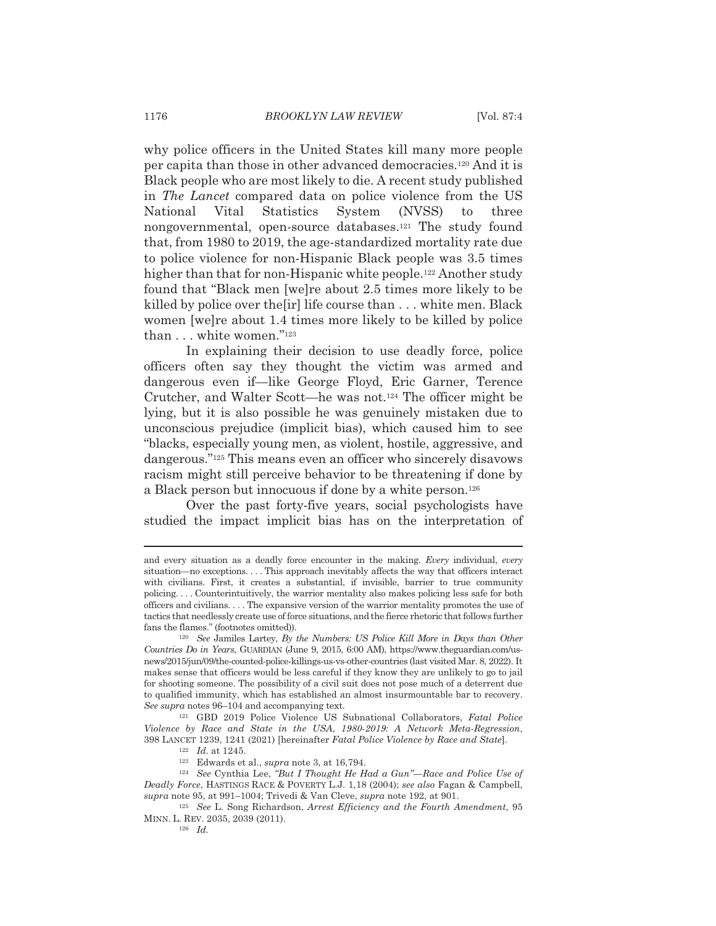why police officers in the United States kill many more people per capita than those in other advanced democracies.<sup>120</sup> And it is Black people who are most likely to die. A recent study published in *The Lancet* compared data on police violence from the US Statistics National Vital System (NVSS) to three nongovernmental, open-source databases.<sup>121</sup> The study found that, from 1980 to 2019, the age-standardized mortality rate due to police violence for non-Hispanic Black people was 3.5 times higher than that for non-Hispanic white people.<sup>122</sup> Another study found that "Black men [we]re about 2.5 times more likely to be killed by police over the firl life course than ... white men. Black women [we]re about 1.4 times more likely to be killed by police than . . . white women."<sup>123</sup>

In explaining their decision to use deadly force, police officers often say they thought the victim was armed and dangerous even if—like George Floyd, Eric Garner, Terence Crutcher, and Walter Scott—he was not.<sup>124</sup> The officer might be lying, but it is also possible he was genuinely mistaken due to unconscious prejudice (implicit bias), which caused him to see "blacks, especially young men, as violent, hostile, aggressive, and dangerous."<sup>125</sup> This means even an officer who sincerely disavows racism might still perceive behavior to be threatening if done by a Black person but innocuous if done by a white person.<sup>126</sup>

Over the past forty-five years, social psychologists have studied the impact implicit bias has on the interpretation of

and every situation as a deadly force encounter in the making. Every individual, every situation—no exceptions.... This approach inevitably affects the way that officers interact with civilians. First, it creates a substantial, if invisible, barrier to true community policing.... Counterintuitively, the warrior mentality also makes policing less safe for both officers and civilians. . . . The expansive version of the warrior mentality promotes the use of tactics that needlessly create use of force situations, and the fierce rhetoric that follows further fans the flames." (footnotes omitted)).

 $120$  See Jamiles Lartey, By the Numbers: US Police Kill More in Days than Other Countries Do in Years, GUARDIAN (June 9, 2015, 6:00 AM), https://www.theguardian.com/usnews/2015/jun/09/the-counted-police-killings-us-vs-other-countries (last visited Mar. 8, 2022). It makes sense that officers would be less careful if they know they are unlikely to go to jail for shooting someone. The possibility of a civil suit does not pose much of a deterrent due to qualified immunity, which has established an almost insurmountable bar to recovery. See supra notes 96–104 and accompanying text.

<sup>&</sup>lt;sup>121</sup> GBD 2019 Police Violence US Subnational Collaborators, Fatal Police Violence by Race and State in the USA, 1980-2019: A Network Meta-Regression, 398 LANCET 1239, 1241 (2021) [hereinafter Fatal Police Violence by Race and State].

 $122$  *Id.* at 1245.

<sup>&</sup>lt;sup>123</sup> Edwards et al., *supra* note 3, at 16,794.

<sup>&</sup>lt;sup>124</sup> See Cynthia Lee, "But I Thought He Had a Gun"-Race and Police Use of Deadly Force, HASTINGS RACE & POVERTY L.J. 1,18 (2004); see also Fagan & Campbell, supra note 95, at 991-1004; Trivedi & Van Cleve, supra note 192, at 901.

<sup>&</sup>lt;sup>125</sup> See L. Song Richardson, Arrest Efficiency and the Fourth Amendment, 95 MINN. L. REV. 2035, 2039 (2011).

 $126$  *Id.*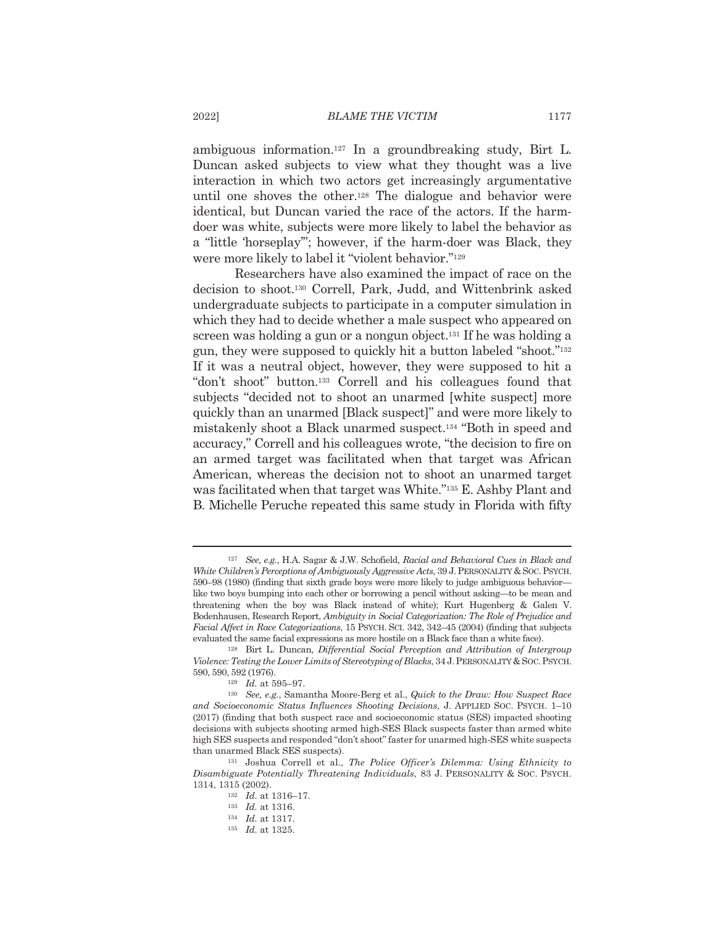ambiguous information.<sup>127</sup> In a groundbreaking study, Birt L. Duncan asked subjects to view what they thought was a live interaction in which two actors get increasingly argumentative until one shoves the other.<sup>128</sup> The dialogue and behavior were identical, but Duncan varied the race of the actors. If the harmdoer was white, subjects were more likely to label the behavior as a "little 'horseplay"; however, if the harm-doer was Black, they were more likely to label it "violent behavior."<sup>129</sup>

Researchers have also examined the impact of race on the decision to shoot.<sup>130</sup> Correll, Park, Judd, and Wittenbrink asked undergraduate subjects to participate in a computer simulation in which they had to decide whether a male suspect who appeared on screen was holding a gun or a nongun object.<sup>131</sup> If he was holding a gun, they were supposed to quickly hit a button labeled "shoot."<sup>132</sup> If it was a neutral object, however, they were supposed to hit a "don't shoot" button.<sup>133</sup> Correll and his colleagues found that subjects "decided not to shoot an unarmed [white suspect] more quickly than an unarmed [Black suspect]" and were more likely to mistakenly shoot a Black unarmed suspect.<sup>134</sup> "Both in speed and accuracy," Correll and his colleagues wrote, "the decision to fire on an armed target was facilitated when that target was African American, whereas the decision not to shoot an unarmed target was facilitated when that target was White."<sup>135</sup> E. Ashby Plant and B. Michelle Peruche repeated this same study in Florida with fifty

<sup>&</sup>lt;sup>127</sup> See, e.g., H.A. Sagar & J.W. Schofield, Racial and Behavioral Cues in Black and White Children's Perceptions of Ambiguously Aggressive Acts, 39 J. PERSONALITY & SOC. PSYCH. 590–98 (1980) (finding that sixth grade boys were more likely to judge ambiguous behavior like two boys bumping into each other or borrowing a pencil without asking—to be mean and threatening when the boy was Black instead of white); Kurt Hugenberg & Galen V. Bodenhausen, Research Report, Ambiguity in Social Categorization: The Role of Prejudice and Facial Affect in Race Categorizations, 15 PSYCH, SCI, 342, 342-45 (2004) (finding that subjects evaluated the same facial expressions as more hostile on a Black face than a white face).

<sup>&</sup>lt;sup>128</sup> Birt L. Duncan, *Differential Social Perception and Attribution of Intergroup* Violence: Testing the Lower Limits of Stereotyping of Blacks, 34 J. PERSONALITY & SOC. PSYCH. 590, 590, 592 (1976).

 $129$  *Id* at 595-97

<sup>&</sup>lt;sup>130</sup> See, e.g., Samantha Moore-Berg et al., Quick to the Draw: How Suspect Race and Socioeconomic Status Influences Shooting Decisions, J. APPLIED SOC. PSYCH. 1-10 (2017) (finding that both suspect race and socioeconomic status (SES) impacted shooting decisions with subjects shooting armed high-SES Black suspects faster than armed white high SES suspects and responded "don't shoot" faster for unarmed high-SES white suspects than unarmed Black SES suspects).

<sup>&</sup>lt;sup>131</sup> Joshua Correll et al., *The Police Officer's Dilemma: Using Ethnicity to* Disambiguate Potentially Threatening Individuals, 83 J. PERSONALITY & SOC. PSYCH. 1314, 1315 (2002).

 $132$  *Id.* at 1316-17.

 $133$  *Id.* at 1316.

 $134$  *Id.* at 1317.

 $135$  *Id.* at 1325.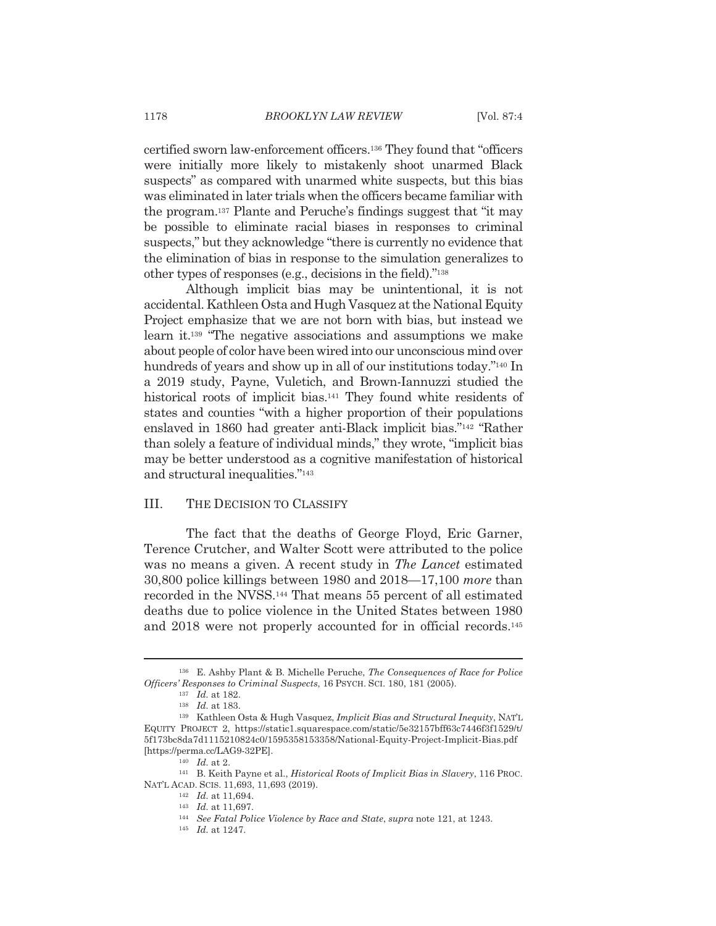certified sworn law-enforcement officers.<sup>136</sup> They found that "officers were initially more likely to mistakenly shoot unarmed Black suspects" as compared with unarmed white suspects, but this bias was eliminated in later trials when the officers became familiar with the program.<sup>137</sup> Plante and Peruche's findings suggest that "it may be possible to eliminate racial biases in responses to criminal suspects," but they acknowledge "there is currently no evidence that the elimination of bias in response to the simulation generalizes to other types of responses (e.g., decisions in the field)."<sup>138</sup>

Although implicit bias may be unintentional, it is not accidental. Kathleen Osta and Hugh Vasquez at the National Equity Project emphasize that we are not born with bias, but instead we learn it.<sup>139</sup> "The negative associations and assumptions we make about people of color have been wired into our unconscious mind over hundreds of years and show up in all of our institutions today."<sup>140</sup> In a 2019 study, Payne, Vuletich, and Brown-Iannuzzi studied the historical roots of implicit bias.<sup>141</sup> They found white residents of states and counties "with a higher proportion of their populations" enslaved in 1860 had greater anti-Black implicit bias."<sup>142</sup> "Rather" than solely a feature of individual minds," they wrote, "implicit bias may be better understood as a cognitive manifestation of historical and structural inequalities."143

#### III. THE DECISION TO CLASSIFY

The fact that the deaths of George Floyd, Eric Garner, Terence Crutcher, and Walter Scott were attributed to the police was no means a given. A recent study in The Lancet estimated  $30,800$  police killings between 1980 and  $2018 - 17,100$  more than recorded in the NVSS.<sup>144</sup> That means 55 percent of all estimated deaths due to police violence in the United States between 1980 and 2018 were not properly accounted for in official records.<sup>145</sup>

<sup>&</sup>lt;sup>136</sup> E. Ashby Plant & B. Michelle Peruche, *The Consequences of Race for Police* Officers' Responses to Criminal Suspects, 16 PSYCH, SCI, 180, 181 (2005).

 $137$  *Id.* at 182.

 $138$  *Id.* at 183.

<sup>&</sup>lt;sup>139</sup> Kathleen Osta & Hugh Vasquez, Implicit Bias and Structural Inequity, NAT'L EQUITY PROJECT 2, https://static1.squarespace.com/static/5e32157bff63c7446f3f1529/t/ 5f173bc8da7d1115210824c0/1595358153358/National-Equity-Project-Implicit-Bias.pdf [https://perma.cc/LAG9-32PE].

 $140$  *Id.* at 2.

<sup>&</sup>lt;sup>141</sup> B. Keith Payne et al., *Historical Roots of Implicit Bias in Slavery*, 116 PROC. NAT'L ACAD. SCIS. 11,693, 11,693 (2019).

 $142$  *Id.* at 11,694.

<sup>&</sup>lt;sup>143</sup> Id. at 11,697.

<sup>&</sup>lt;sup>144</sup> See Fatal Police Violence by Race and State, supra note 121, at 1243.

 $145$  *Id.* at 1247.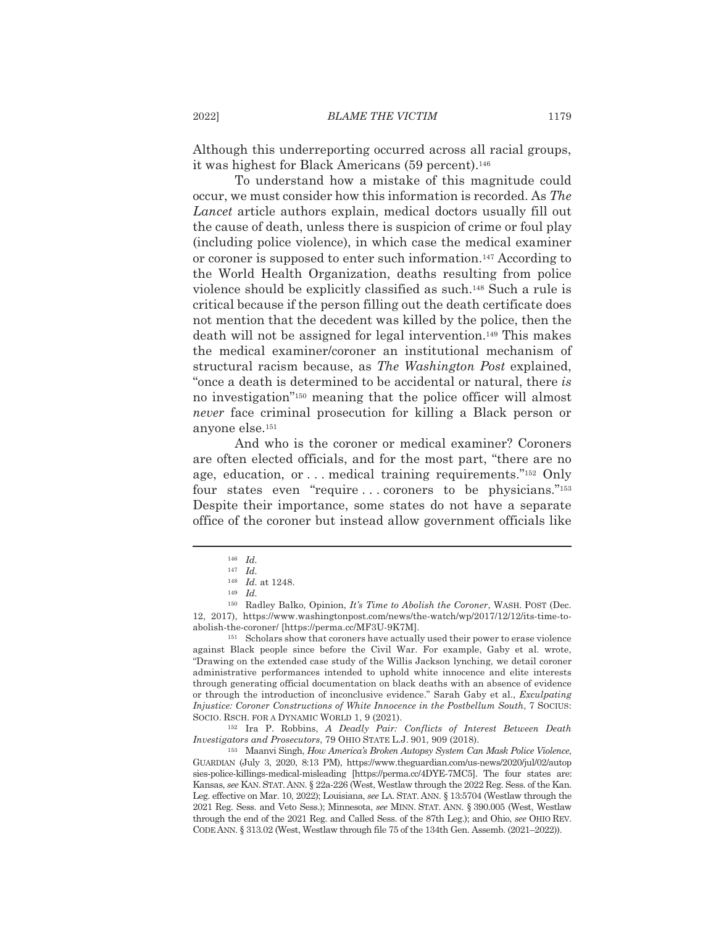Although this underreporting occurred across all racial groups, it was highest for Black Americans (59 percent).<sup>146</sup>

To understand how a mistake of this magnitude could occur, we must consider how this information is recorded. As The Lancet article authors explain, medical doctors usually fill out the cause of death, unless there is suspicion of crime or foul play (including police violence), in which case the medical examiner or coroner is supposed to enter such information.<sup>147</sup> According to the World Health Organization, deaths resulting from police violence should be explicitly classified as such.<sup>148</sup> Such a rule is critical because if the person filling out the death certificate does not mention that the decedent was killed by the police, then the death will not be assigned for legal intervention.<sup>149</sup> This makes the medical examiner/coroner an institutional mechanism of structural racism because, as The Washington Post explained, "once a death is determined to be accidental or natural, there is no investigation"<sup>150</sup> meaning that the police officer will almost never face criminal prosecution for killing a Black person or anyone else.<sup>151</sup>

And who is the coroner or medical examiner? Coroners are often elected officials, and for the most part, "there are no age, education, or ... medical training requirements."<sup>152</sup> Only four states even "require...coroners to be physicians."<sup>153</sup> Despite their importance, some states do not have a separate office of the coroner but instead allow government officials like

<sup>152</sup> Ira P. Robbins, A Deadly Pair: Conflicts of Interest Between Death Investigators and Prosecutors, 79 OHIO STATE L.J. 901, 909 (2018).

<sup>153</sup> Maanvi Singh, How America's Broken Autopsy System Can Mask Police Violence, GUARDIAN (July 3, 2020, 8:13 PM), https://www.theguardian.com/us-news/2020/jul/02/autop sies-police-killings-medical-misleading [https://perma.cc/4DYE-7MC5]. The four states are: Kansas, see KAN. STAT. ANN. § 22a-226 (West, Westlaw through the 2022 Reg. Sess. of the Kan. Leg. effective on Mar. 10, 2022); Louisiana, see LA. STAT. ANN. § 13:5704 (Westlaw through the 2021 Reg. Sess. and Veto Sess.); Minnesota, see MINN. STAT. ANN. § 390.005 (West, Westlaw through the end of the 2021 Reg. and Called Sess. of the 87th Leg.); and Ohio, see OHIO REV. CODE ANN. § 313.02 (West, Westlaw through file 75 of the 134th Gen. Assemb. (2021-2022)).

 $146$  *Id.* 

 $147$  *Id.* 

 $148$  *Id.* at 1248.

 $149$  *Id.* 

<sup>&</sup>lt;sup>150</sup> Radley Balko, Opinion, *It's Time to Abolish the Coroner*, WASH. POST (Dec. 12, 2017), https://www.washingtonpost.com/news/the-watch/wp/2017/12/12/its-time-toabolish-the-coroner/ [https://perma.cc/MF3U-9K7M].

<sup>&</sup>lt;sup>151</sup> Scholars show that coroners have actually used their power to erase violence against Black people since before the Civil War. For example, Gaby et al. wrote, "Drawing on the extended case study of the Willis Jackson lynching, we detail coroner administrative performances intended to uphold white innocence and elite interests through generating official documentation on black deaths with an absence of evidence or through the introduction of inconclusive evidence." Sarah Gaby et al., *Exculpating* Injustice: Coroner Constructions of White Innocence in the Postbellum South, 7 SOCIUS: SOCIO. RSCH. FOR A DYNAMIC WORLD 1, 9 (2021).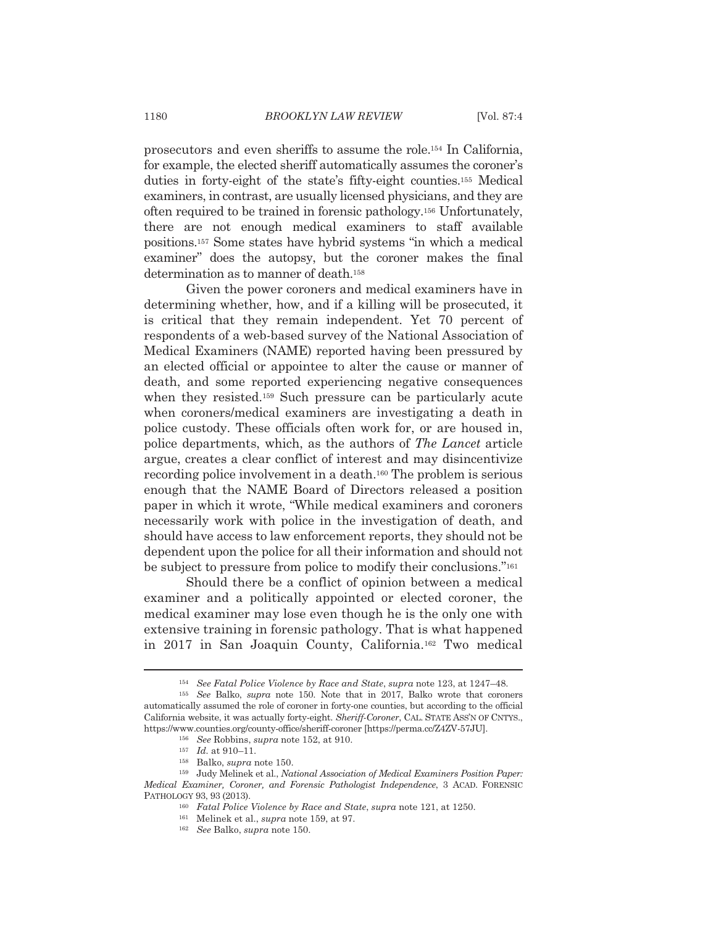prosecutors and even sheriffs to assume the role.<sup>154</sup> In California, for example, the elected sheriff automatically assumes the coroner's duties in forty-eight of the state's fifty-eight counties.<sup>155</sup> Medical examiners, in contrast, are usually licensed physicians, and they are often required to be trained in forensic pathology.<sup>156</sup> Unfortunately, there are not enough medical examiners to staff available positions.<sup>157</sup> Some states have hybrid systems "in which a medical examiner" does the autopsy, but the coroner makes the final determination as to manner of death.<sup>158</sup>

Given the power coroners and medical examiners have in determining whether, how, and if a killing will be prosecuted, it is critical that they remain independent. Yet 70 percent of respondents of a web-based survey of the National Association of Medical Examiners (NAME) reported having been pressured by an elected official or appointee to alter the cause or manner of death, and some reported experiencing negative consequences when they resisted.<sup>159</sup> Such pressure can be particularly acute when coroners/medical examiners are investigating a death in police custody. These officials often work for, or are housed in, police departments, which, as the authors of The Lancet article argue, creates a clear conflict of interest and may disincentivize recording police involvement in a death.<sup>160</sup> The problem is serious enough that the NAME Board of Directors released a position paper in which it wrote, "While medical examiners and coroners necessarily work with police in the investigation of death, and should have access to law enforcement reports, they should not be dependent upon the police for all their information and should not be subject to pressure from police to modify their conclusions."<sup>161</sup>

Should there be a conflict of opinion between a medical examiner and a politically appointed or elected coroner, the medical examiner may lose even though he is the only one with extensive training in forensic pathology. That is what happened in 2017 in San Joaquin County, California.<sup>162</sup> Two medical

<sup>&</sup>lt;sup>154</sup> See Fatal Police Violence by Race and State, supra note 123, at 1247-48.

<sup>&</sup>lt;sup>155</sup> See Balko, *supra* note 150. Note that in 2017, Balko wrote that coroners automatically assumed the role of coroner in forty-one counties, but according to the official California website, it was actually forty-eight. Sheriff-Coroner, CAL. STATE ASS'N OF CNTYS., https://www.counties.org/county-office/sheriff-coroner [https://perma.cc/Z4ZV-57JU].

<sup>&</sup>lt;sup>156</sup> See Robbins, *supra* note 152, at 910.

 $157$  *Id.* at 910-11.

<sup>&</sup>lt;sup>158</sup> Balko, *supra* note 150.

 $^{159}$  Judy Melinek et al., National Association of Medical Examiners Position Paper: Medical Examiner, Coroner, and Forensic Pathologist Independence, 3 ACAD. FORENSIC PATHOLOGY 93, 93 (2013).

<sup>&</sup>lt;sup>160</sup> Fatal Police Violence by Race and State, supra note 121, at 1250.

<sup>&</sup>lt;sup>161</sup> Melinek et al., *supra* note 159, at 97.

<sup>&</sup>lt;sup>162</sup> See Balko, supra note 150.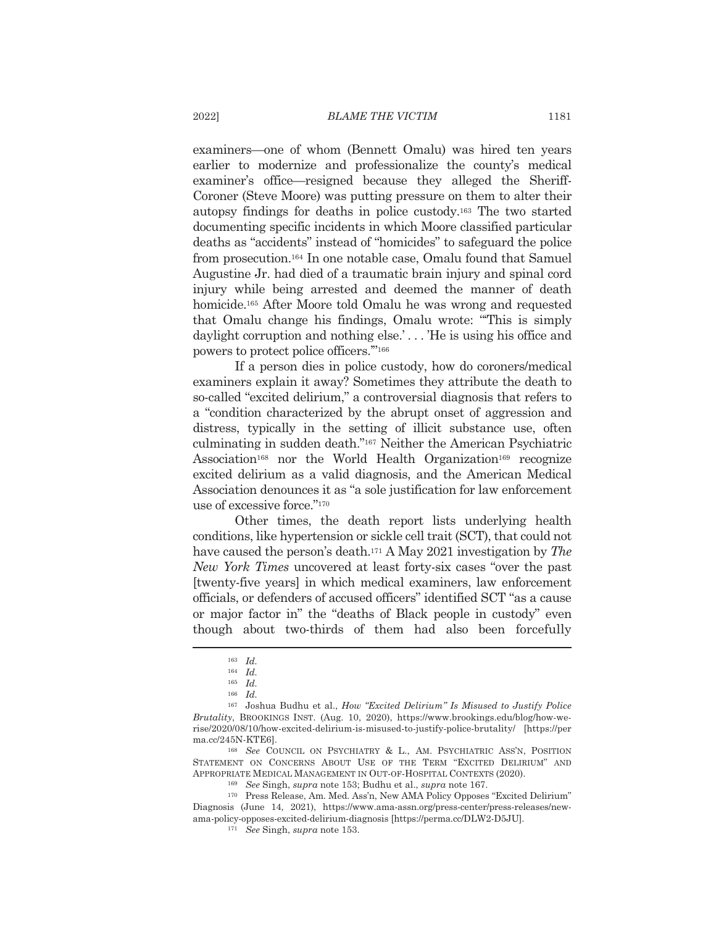examiners—one of whom (Bennett Omalu) was hired ten years earlier to modernize and professionalize the county's medical examiner's office—resigned because they alleged the Sheriff-Coroner (Steve Moore) was putting pressure on them to alter their autopsy findings for deaths in police custody.<sup>163</sup> The two started documenting specific incidents in which Moore classified particular deaths as "accidents" instead of "homicides" to safeguard the police from prosecution.<sup>164</sup> In one notable case, Omalu found that Samuel Augustine Jr. had died of a traumatic brain injury and spinal cord injury while being arrested and deemed the manner of death homicide.<sup>165</sup> After Moore told Omalu he was wrong and requested that Omalu change his findings, Omalu wrote: "This is simply daylight corruption and nothing else.'...'He is using his office and powers to protect police officers."<sup>166</sup>

If a person dies in police custody, how do coroners/medical examiners explain it away? Sometimes they attribute the death to so-called "excited delirium," a controversial diagnosis that refers to a "condition characterized by the abrupt onset of aggression and distress, typically in the setting of illicit substance use, often culminating in sudden death."167 Neither the American Psychiatric Association<sup>168</sup> nor the World Health Organization<sup>169</sup> recognize excited delirium as a valid diagnosis, and the American Medical Association denounces it as "a sole justification for law enforcement use of excessive force."170

Other times, the death report lists underlying health conditions, like hypertension or sickle cell trait (SCT), that could not have caused the person's death.<sup>171</sup> A May 2021 investigation by The New York Times uncovered at least forty-six cases "over the past [twenty-five years] in which medical examiners, law enforcement officials, or defenders of accused officers" identified SCT "as a cause or major factor in" the "deaths of Black people in custody" even though about two-thirds of them had also been forcefully

<sup>168</sup> See COUNCIL ON PSYCHIATRY & L., AM. PSYCHIATRIC ASS'N, POSITION STATEMENT ON CONCERNS ABOUT USE OF THE TERM "EXCITED DELIRIUM" AND APPROPRIATE MEDICAL MANAGEMENT IN OUT-OF-HOSPITAL CONTEXTS (2020).

<sup>169</sup> See Singh, supra note 153; Budhu et al., supra note 167.

<sup>170</sup> Press Release, Am. Med. Ass'n, New AMA Policy Opposes "Excited Delirium" Diagnosis (June 14, 2021), https://www.ama-assn.org/press-center/press-releases/newama-policy-opposes-excited-delirium-diagnosis [https://perma.cc/DLW2-D5JU].

<sup>171</sup> See Singh, supra note 153.

 $163$  *Id.* 

 $164$  *Id.* 

 $165$  *Id.* 

 $166$  *Id.* 

<sup>&</sup>lt;sup>167</sup> Joshua Budhu et al., *How "Excited Delirium" Is Misused to Justify Police* Brutality, BROOKINGS INST. (Aug. 10, 2020), https://www.brookings.edu/blog/how-werise/2020/08/10/how-excited-delirium-is-misused-to-justify-police-brutality/ [https://per ma.cc/245N-KTE6].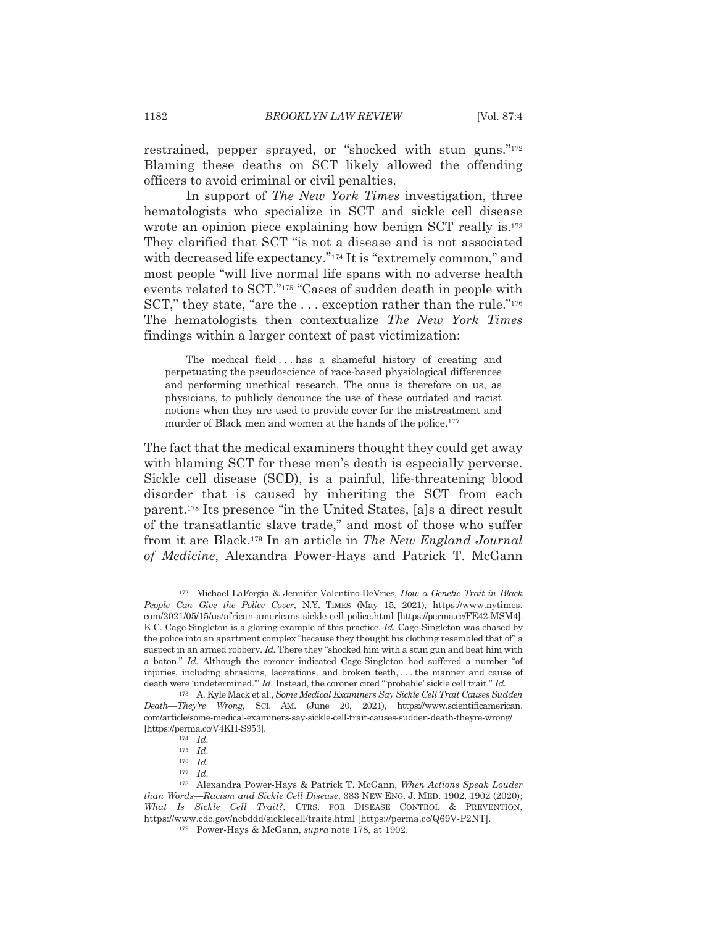restrained, pepper sprayed, or "shocked with stun guns."<sup>172</sup> Blaming these deaths on SCT likely allowed the offending officers to avoid criminal or civil penalties.

In support of The New York Times investigation, three hematologists who specialize in SCT and sickle cell disease wrote an opinion piece explaining how benign SCT really is.<sup>173</sup> They clarified that SCT "is not a disease and is not associated with decreased life expectancy."<sup>174</sup> It is "extremely common," and most people "will live normal life spans with no adverse health events related to SCT."<sup>175</sup> "Cases of sudden death in people with SCT," they state, "are the ... exception rather than the rule."176 The hematologists then contextualize The New York Times findings within a larger context of past victimization:

The medical field...has a shameful history of creating and perpetuating the pseudoscience of race-based physiological differences and performing unethical research. The onus is therefore on us, as physicians, to publicly denounce the use of these outdated and racist notions when they are used to provide cover for the mistreatment and murder of Black men and women at the hands of the police.<sup>177</sup>

The fact that the medical examiners thought they could get away with blaming SCT for these men's death is especially perverse. Sickle cell disease (SCD), is a painful, life-threatening blood disorder that is caused by inheriting the SCT from each parent.<sup>178</sup> Its presence "in the United States, [a]s a direct result of the transatlantic slave trade," and most of those who suffer from it are Black.<sup>179</sup> In an article in The New England Journal of Medicine, Alexandra Power-Hays and Patrick T. McGann

<sup>172</sup> Michael LaForgia & Jennifer Valentino-DeVries, How a Genetic Trait in Black People Can Give the Police Cover, N.Y. TIMES (May 15, 2021), https://www.nytimes. com/2021/05/15/us/african-americans-sickle-cell-police.html [https://perma.cc/FE42-MSM4]. K.C. Cage-Singleton is a glaring example of this practice. *Id.* Cage-Singleton was chased by the police into an apartment complex "because they thought his clothing resembled that of" a suspect in an armed robbery. Id. There they "shocked him with a stun gun and beat him with a baton." Id. Although the coroner indicated Cage-Singleton had suffered a number "of injuries, including abrasions, lacerations, and broken teeth,... the manner and cause of death were 'undetermined." Id. Instead, the coroner cited "probable' sickle cell trait." Id.

<sup>173</sup> A. Kyle Mack et al., Some Medical Examiners Say Sickle Cell Trait Causes Sudden Death-They're Wrong, SCI. AM. (June 20, 2021), https://www.scientificamerican. com/article/some-medical-examiners-say-sickle-cell-trait-causes-sudden-death-theyre-wrong/ [https://perma.cc/V4KH-S953].

 $174$  *Id.* 

 $175$  *Id.* 

 $176$  *Id.* 

 $177$  *Id.* 

<sup>178</sup> Alexandra Power-Hays & Patrick T. McGann, When Actions Speak Louder than Words-Racism and Sickle Cell Disease, 383 NEW ENG. J. MED. 1902, 1902 (2020); What Is Sickle Cell Trait?, CTRS. FOR DISEASE CONTROL & PREVENTION, https://www.cdc.gov/ncbddd/sicklecell/traits.html [https://perma.cc/Q69V-P2NT].

<sup>&</sup>lt;sup>179</sup> Power-Hays & McGann, *supra* note 178, at 1902.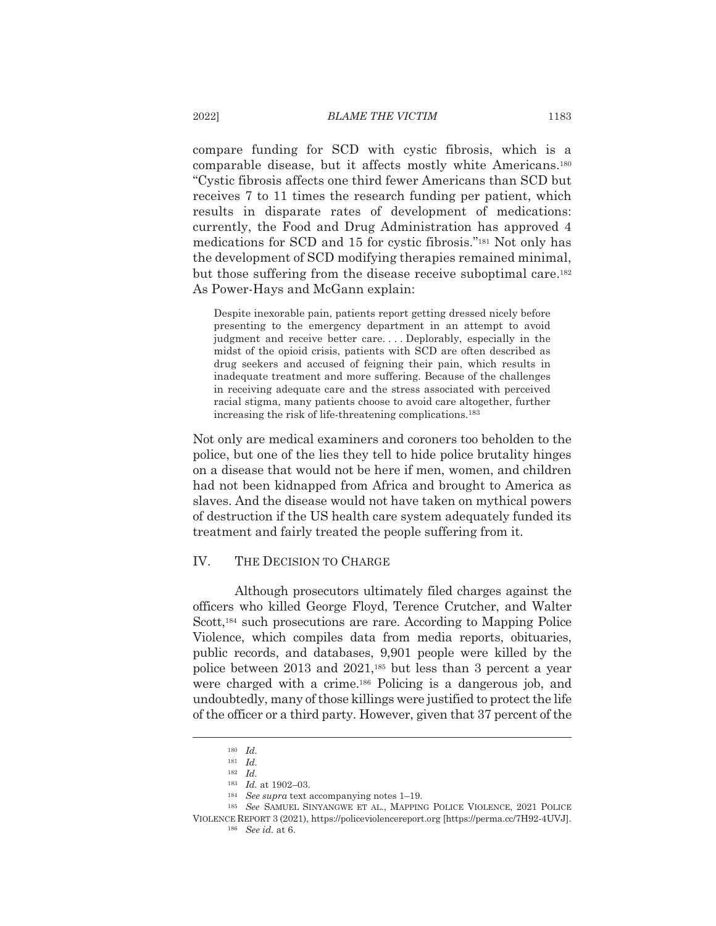compare funding for SCD with cystic fibrosis, which is a comparable disease, but it affects mostly white Americans.<sup>180</sup> "Cystic fibrosis affects one third fewer Americans than SCD but receives 7 to 11 times the research funding per patient, which results in disparate rates of development of medications: currently, the Food and Drug Administration has approved 4 medications for SCD and 15 for cystic fibrosis."<sup>181</sup> Not only has the development of SCD modifying therapies remained minimal, but those suffering from the disease receive suboptimal care.<sup>182</sup> As Power-Hays and McGann explain:

Despite inexorable pain, patients report getting dressed nicely before presenting to the emergency department in an attempt to avoid judgment and receive better care....Deplorably, especially in the midst of the opioid crisis, patients with SCD are often described as drug seekers and accused of feigning their pain, which results in inadequate treatment and more suffering. Because of the challenges in receiving adequate care and the stress associated with perceived racial stigma, many patients choose to avoid care altogether, further increasing the risk of life-threatening complications.<sup>183</sup>

Not only are medical examiners and coroners too beholden to the police, but one of the lies they tell to hide police brutality hinges on a disease that would not be here if men, women, and children had not been kidnapped from Africa and brought to America as slaves. And the disease would not have taken on mythical powers of destruction if the US health care system adequately funded its treatment and fairly treated the people suffering from it.

#### IV. THE DECISION TO CHARGE

Although prosecutors ultimately filed charges against the officers who killed George Floyd, Terence Crutcher, and Walter Scott,<sup>184</sup> such prosecutions are rare. According to Mapping Police Violence, which compiles data from media reports, obituaries, public records, and databases, 9,901 people were killed by the police between 2013 and 2021,<sup>185</sup> but less than 3 percent a year were charged with a crime.<sup>186</sup> Policing is a dangerous job, and undoubtedly, many of those killings were justified to protect the life of the officer or a third party. However, given that 37 percent of the

2022]

 $180$  *Id.* 

 $181$  *Id.*  $182$  Id.

 $183$  *Id.* at 1902-03.

 $184$  See supra text accompanying notes 1-19.

<sup>&</sup>lt;sup>185</sup> See SAMUEL SINYANGWE ET AL., MAPPING POLICE VIOLENCE, 2021 POLICE VIOLENCE REPORT 3 (2021), https://policeviolencereport.org [https://perma.cc/7H92-4UVJ].

<sup>&</sup>lt;sup>186</sup> See id. at 6.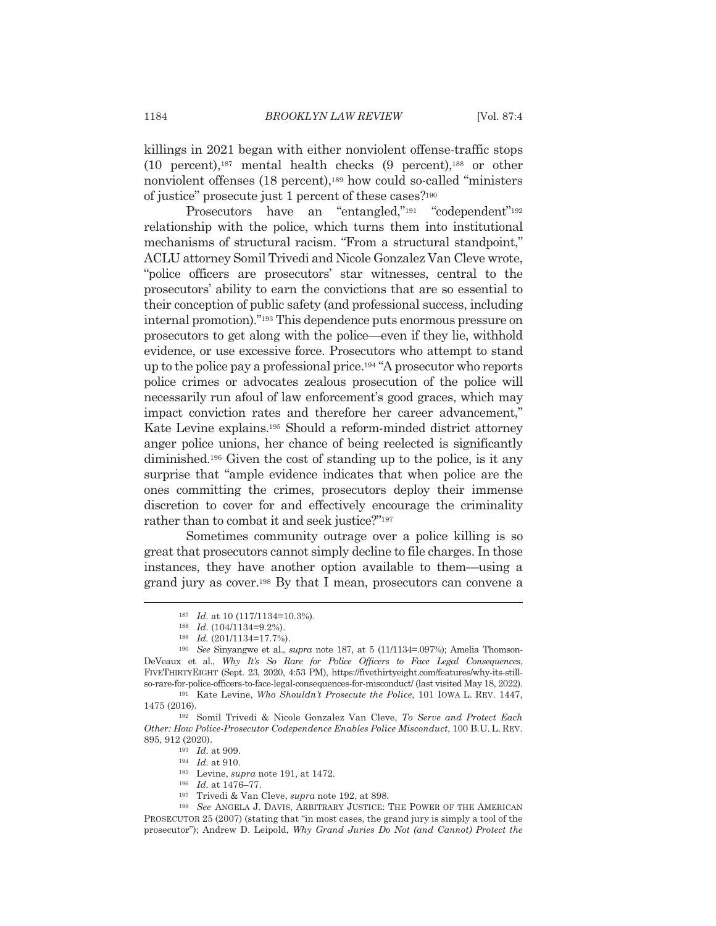killings in 2021 began with either nonviolent offense-traffic stops  $(10$  percent),<sup>187</sup> mental health checks  $(9$  percent),<sup>188</sup> or other nonviolent offenses (18 percent),<sup>189</sup> how could so-called "ministers" of justice" prosecute just 1 percent of these cases?<sup>190</sup>

Prosecutors have an "entangled,"<sup>191</sup> "codependent"<sup>192</sup> relationship with the police, which turns them into institutional mechanisms of structural racism. "From a structural standpoint," ACLU attorney Somil Trivedi and Nicole Gonzalez Van Cleve wrote, "police officers are prosecutors' star witnesses, central to the prosecutors' ability to earn the convictions that are so essential to their conception of public safety (and professional success, including internal promotion)."<sup>193</sup> This dependence puts enormous pressure on prosecutors to get along with the police—even if they lie, withhold evidence, or use excessive force. Prosecutors who attempt to stand up to the police pay a professional price.<sup>194</sup> "A prosecutor who reports" police crimes or advocates zealous prosecution of the police will necessarily run afoul of law enforcement's good graces, which may impact conviction rates and therefore her career advancement." Kate Levine explains.<sup>195</sup> Should a reform-minded district attorney anger police unions, her chance of being reelected is significantly diminished.<sup>196</sup> Given the cost of standing up to the police, is it any surprise that "ample evidence indicates that when police are the ones committing the crimes, prosecutors deploy their immense discretion to cover for and effectively encourage the criminality rather than to combat it and seek justice?"<sup>197</sup>

Sometimes community outrage over a police killing is so great that prosecutors cannot simply decline to file charges. In those instances, they have another option available to them—using a grand jury as cover.<sup>198</sup> By that I mean, prosecutors can convene a

 $193$  *Id.* at 909.

196 Id. at 1476–77.

 $187$  *Id.* at 10 (117/1134=10.3%).

 $188$  Id.  $(104/1134=9.2\%)$ .

<sup>189</sup> Id. (201/1134=17.7%).

 $^{190}$  See Sinyangwe et al., supra note 187, at 5 (11/1134=.097%); Amelia Thomson-DeVeaux et al., Why It's So Rare for Police Officers to Face Legal Consequences, FIVETHIRTYEIGHT (Sept. 23, 2020, 4:53 PM), https://fivethirtyeight.com/features/why-its-stillso-rare-for-police-officers-to-face-legal-consequences-for-misconduct/ (last visited May 18, 2022).

<sup>&</sup>lt;sup>191</sup> Kate Levine, Who Shouldn't Prosecute the Police, 101 IOWA L. REV. 1447, 1475 (2016).

<sup>&</sup>lt;sup>192</sup> Somil Trivedi & Nicole Gonzalez Van Cleve, To Serve and Protect Each Other: How Police-Prosecutor Codependence Enables Police Misconduct, 100 B.U. L. REV. 895, 912 (2020).

 $194$  *Id.* at 910.

 $^{195}$  Levine, supra note 191, at 1472.

<sup>&</sup>lt;sup>197</sup> Trivedi & Van Cleve, *supra* note 192, at 898.

<sup>&</sup>lt;sup>198</sup> See ANGELA J. DAVIS, ARBITRARY JUSTICE: THE POWER OF THE AMERICAN PROSECUTOR 25 (2007) (stating that "in most cases, the grand jury is simply a tool of the prosecutor"); Andrew D. Leipold, Why Grand Juries Do Not (and Cannot) Protect the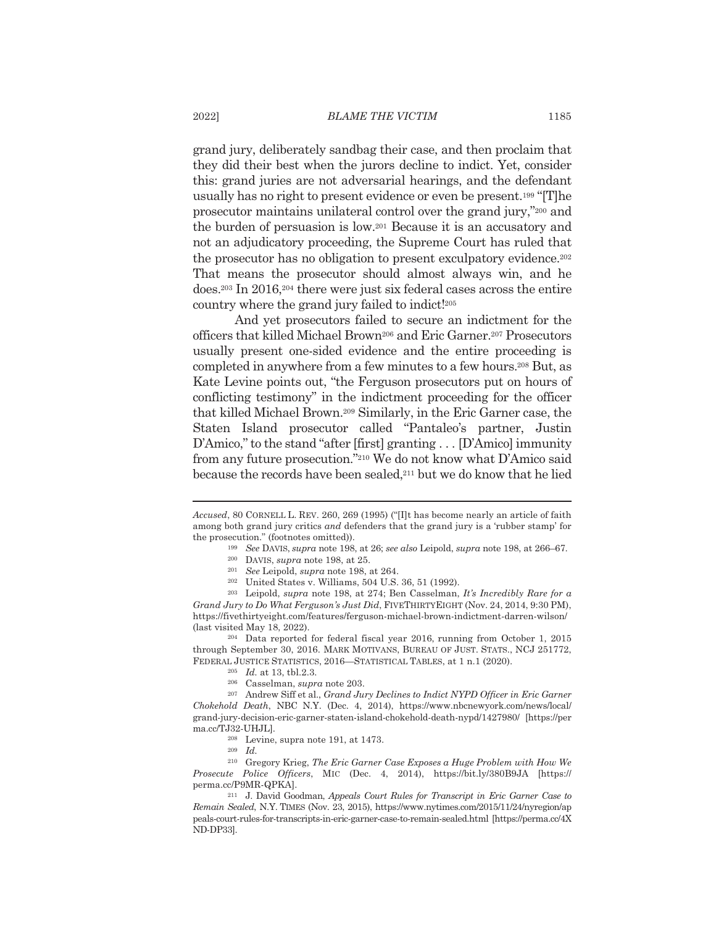grand jury, deliberately sandbag their case, and then proclaim that they did their best when the jurors decline to indict. Yet, consider this: grand juries are not adversarial hearings, and the defendant usually has no right to present evidence or even be present.<sup>199</sup> "[T]he prosecutor maintains unilateral control over the grand jury,"200 and the burden of persuasion is low.<sup>201</sup> Because it is an accusatory and not an adjudicatory proceeding, the Supreme Court has ruled that the prosecutor has no obligation to present exculpatory evidence.<sup>202</sup> That means the prosecutor should almost always win, and he does.<sup>203</sup> In 2016,<sup>204</sup> there were just six federal cases across the entire country where the grand jury failed to indict!<sup>205</sup>

And yet prosecutors failed to secure an indictment for the officers that killed Michael Brown<sup>206</sup> and Eric Garner.<sup>207</sup> Prosecutors usually present one-sided evidence and the entire proceeding is completed in anywhere from a few minutes to a few hours.<sup>208</sup> But, as Kate Levine points out, "the Ferguson prosecutors put on hours of conflicting testimony" in the indictment proceeding for the officer that killed Michael Brown.<sup>209</sup> Similarly, in the Eric Garner case, the Staten Island prosecutor called "Pantaleo's partner, Justin D'Amico," to the stand "after [first] granting  $\dots$  [D'Amico] immunity from any future prosecution."<sup>210</sup> We do not know what D'Amico said because the records have been sealed,<sup>211</sup> but we do know that he lied

<sup>204</sup> Data reported for federal fiscal year 2016, running from October 1, 2015 through September 30, 2016. MARK MOTIVANS, BUREAU OF JUST. STATS., NCJ 251772, FEDERAL JUSTICE STATISTICS, 2016-STATISTICAL TABLES, at 1 n.1 (2020).

Accused, 80 CORNELL L. REV. 260, 269 (1995) ("[I]t has become nearly an article of faith among both grand jury critics and defenders that the grand jury is a 'rubber stamp' for the prosecution." (footnotes omitted)).

<sup>&</sup>lt;sup>199</sup> See DAVIS, *supra* note 198, at 26; *see also Leipold, supra* note 198, at 266–67.

<sup>&</sup>lt;sup>200</sup> DAVIS, *supra* note 198, at 25.

<sup>&</sup>lt;sup>201</sup> See Leipold, supra note 198, at 264.

<sup>&</sup>lt;sup>202</sup> United States v. Williams, 504 U.S. 36, 51 (1992).

 $203$  Leipold, supra note 198, at 274; Ben Casselman, It's Incredibly Rare for a Grand Jury to Do What Ferguson's Just Did, FIVETHIRTY EIGHT (Nov. 24, 2014, 9:30 PM), https://fivethirtyeight.com/features/ferguson-michael-brown-indictment-darren-wilson/ (last visited May 18, 2022).

 $205$  *Id.* at 13, tbl.2.3.

<sup>&</sup>lt;sup>206</sup> Casselman, *supra* note 203.

<sup>207</sup> Andrew Siff et al., Grand Jury Declines to Indict NYPD Officer in Eric Garner Chokehold Death, NBC N.Y. (Dec. 4, 2014), https://www.nbcnewyork.com/news/local/ grand-jury-decision-eric-garner-staten-island-chokehold-death-nypd/1427980/ [https://per ma.cc/TJ32-UHJL].

 $208$  Levine, supra note 191, at 1473.

 $209$  *Id.* 

<sup>&</sup>lt;sup>210</sup> Gregory Krieg, The Eric Garner Case Exposes a Huge Problem with How We Prosecute Police Officers, MIC (Dec. 4, 2014), https://bit.ly/380B9JA [https:// perma.cc/P9MR-QPKA].

<sup>&</sup>lt;sup>211</sup> J. David Goodman, Appeals Court Rules for Transcript in Eric Garner Case to Remain Sealed, N.Y. TIMES (Nov. 23, 2015), https://www.nytimes.com/2015/11/24/nyregion/ap peals-court-rules-for-transcripts-in-eric-garner-case-to-remain-sealed.html [https://perma.cc/4X ND-DP33].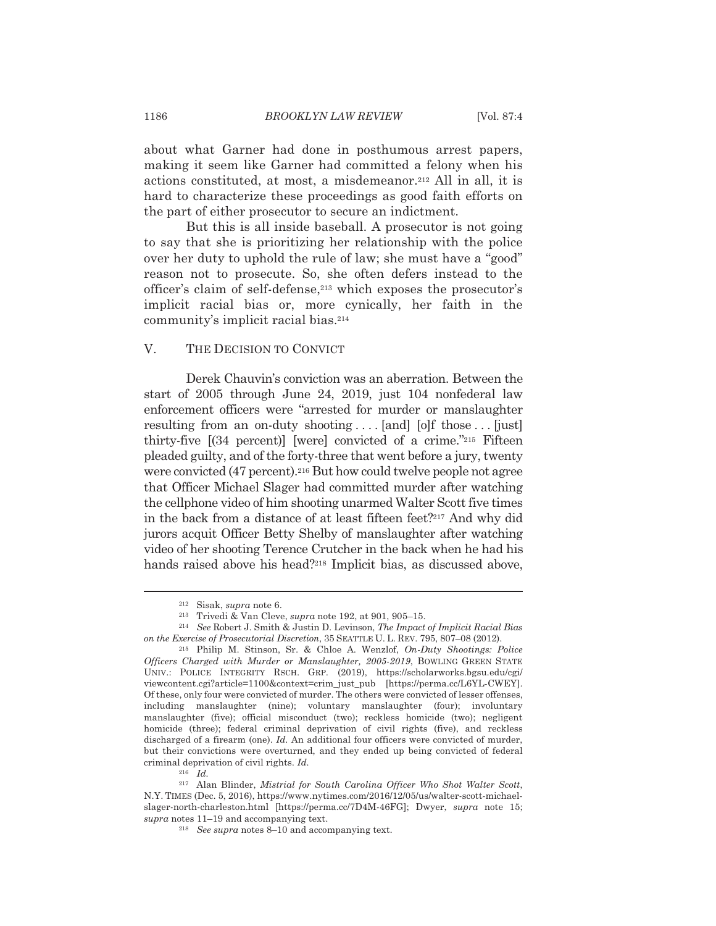about what Garner had done in posthumous arrest papers, making it seem like Garner had committed a felony when his actions constituted, at most, a misdemeanor.<sup>212</sup> All in all, it is hard to characterize these proceedings as good faith efforts on the part of either prosecutor to secure an indictment.

But this is all inside baseball. A prosecutor is not going to say that she is prioritizing her relationship with the police over her duty to uphold the rule of law; she must have a "good" reason not to prosecute. So, she often defers instead to the officer's claim of self-defense,<sup>213</sup> which exposes the prosecutor's implicit racial bias or, more cynically, her faith in the community's implicit racial bias.<sup>214</sup>

#### V. THE DECISION TO CONVICT

Derek Chauvin's conviction was an aberration. Between the start of 2005 through June 24, 2019, just 104 nonfederal law enforcement officers were "arrested for murder or manslaughter resulting from an on-duty shooting.... [and] [o]f those ... [just] thirty-five  $[(34 \text{ percent})]$  [werel convicted of a crime."<sup>215</sup> Fifteen pleaded guilty, and of the forty-three that went before a jury, twenty were convicted (47 percent).<sup>216</sup> But how could twelve people not agree that Officer Michael Slager had committed murder after watching the cellphone video of him shooting unarmed Walter Scott five times in the back from a distance of at least fifteen feet?<sup>217</sup> And why did jurors acquit Officer Betty Shelby of manslaughter after watching video of her shooting Terence Crutcher in the back when he had his hands raised above his head?<sup>218</sup> Implicit bias, as discussed above,

 $212$  Sisak, *supra* note 6.

<sup>&</sup>lt;sup>213</sup> Trivedi & Van Cleve, *supra* note 192, at 901, 905-15.

<sup>&</sup>lt;sup>214</sup> See Robert J. Smith & Justin D. Levinson. The Impact of Implicit Racial Bias on the Exercise of Prosecutorial Discretion, 35 SEATTLE U. L. REV. 795, 807–08 (2012).

<sup>&</sup>lt;sup>215</sup> Philip M. Stinson, Sr. & Chloe A. Wenzlof, On-Duty Shootings: Police Officers Charged with Murder or Manslaughter, 2005-2019, BOWLING GREEN STATE UNIV.: POLICE INTEGRITY RSCH. GRP. (2019), https://scholarworks.bgsu.edu/cgi/ viewcontent.cgi?article=1100&context=crim just pub [https://perma.cc/L6YL-CWEY]. Of these, only four were convicted of murder. The others were convicted of lesser offenses, including manslaughter (nine); voluntary manslaughter (four); involuntary manslaughter (five); official misconduct (two); reckless homicide (two); negligent homicide (three); federal criminal deprivation of civil rights (five), and reckless discharged of a firearm (one). Id. An additional four officers were convicted of murder, but their convictions were overturned, and they ended up being convicted of federal criminal deprivation of civil rights. Id.

 $^{216}$   $\,$   $Id.$ 

<sup>&</sup>lt;sup>217</sup> Alan Blinder, *Mistrial for South Carolina Officer Who Shot Walter Scott*, N.Y. TIMES (Dec. 5, 2016), https://www.nytimes.com/2016/12/05/us/walter-scott-michaelslager-north-charleston.html [https://perma.cc/7D4M-46FG]; Dwyer, supra note 15;  $supra$  notes 11–19 and accompanying text.

<sup>&</sup>lt;sup>218</sup> See supra notes 8–10 and accompanying text.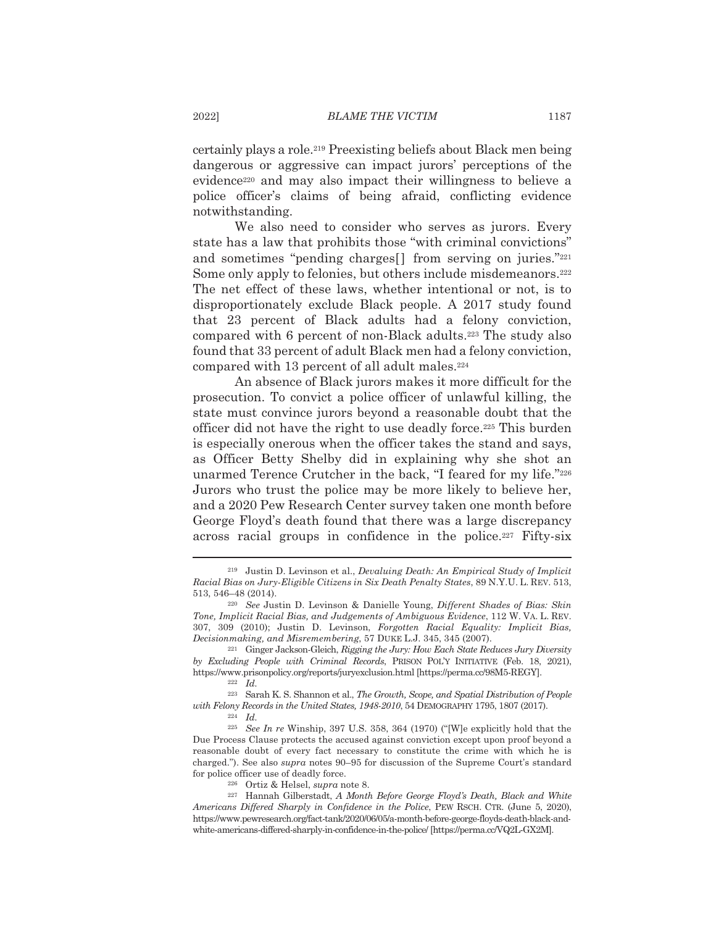certainly plays a role.<sup>219</sup> Preexisting beliefs about Black men being dangerous or aggressive can impact jurors' perceptions of the evidence<sup>220</sup> and may also impact their willingness to believe a police officer's claims of being afraid, conflicting evidence notwithstanding.

We also need to consider who serves as jurors. Every state has a law that prohibits those "with criminal convictions" and sometimes "pending charges<sup>[]</sup> from serving on juries."<sup>221</sup> Some only apply to felonies, but others include misdemeanors.<sup>222</sup> The net effect of these laws, whether intentional or not, is to disproportionately exclude Black people. A 2017 study found that 23 percent of Black adults had a felony conviction, compared with 6 percent of non-Black adults.<sup>223</sup> The study also found that 33 percent of adult Black men had a felony conviction, compared with 13 percent of all adult males.<sup>224</sup>

An absence of Black jurors makes it more difficult for the prosecution. To convict a police officer of unlawful killing, the state must convince jurors beyond a reasonable doubt that the officer did not have the right to use deadly force.<sup>225</sup> This burden is especially onerous when the officer takes the stand and says, as Officer Betty Shelby did in explaining why she shot an unarmed Terence Crutcher in the back, "I feared for my life."226 Jurors who trust the police may be more likely to believe her. and a 2020 Pew Research Center survey taken one month before George Floyd's death found that there was a large discrepancy across racial groups in confidence in the police.<sup>227</sup> Fifty-six

 $222$  Id.

<sup>223</sup> Sarah K. S. Shannon et al., *The Growth*, *Scope*, and *Spatial Distribution of People* with Felony Records in the United States, 1948-2010, 54 DEMOGRAPHY 1795, 1807 (2017).

 $224$  *Id.* 

<sup>226</sup> Ortiz & Helsel, *supra* note 8.

<sup>&</sup>lt;sup>219</sup> Justin D. Levinson et al., *Devaluing Death: An Empirical Study of Implicit* Racial Bias on Jury-Eligible Citizens in Six Death Penalty States, 89 N.Y.U. L. REV. 513, 513, 546-48 (2014).

<sup>&</sup>lt;sup>220</sup> See Justin D. Levinson & Danielle Young, Different Shades of Bias: Skin Tone, Implicit Racial Bias, and Judgements of Ambiguous Evidence, 112 W. VA. L. REV. 307, 309 (2010); Justin D. Levinson, Forgotten Racial Equality: Implicit Bias, Decisionmaking, and Misremembering, 57 DUKE L.J. 345, 345 (2007).

<sup>&</sup>lt;sup>221</sup> Ginger Jackson-Gleich, Rigging the Jury: How Each State Reduces Jury Diversity by Excluding People with Criminal Records, PRISON POL'Y INITIATIVE (Feb. 18, 2021), https://www.prisonpolicy.org/reports/juryexclusion.html [https://perma.cc/98M5-REGY].

 $225$  See In re Winship, 397 U.S. 358, 364 (1970) ("[W]e explicitly hold that the Due Process Clause protects the accused against conviction except upon proof beyond a reasonable doubt of every fact necessary to constitute the crime with which he is charged."). See also *supra* notes 90–95 for discussion of the Supreme Court's standard for police officer use of deadly force.

<sup>&</sup>lt;sup>227</sup> Hannah Gilberstadt, A Month Before George Floyd's Death, Black and White Americans Differed Sharply in Confidence in the Police, PEW RSCH. CTR. (June 5, 2020), https://www.pewresearch.org/fact-tank/2020/06/05/a-month-before-george-floyds-death-black-andwhite-americans-differed-sharply-in-confidence-in-the-police/ [https://perma.cc/VQ2L-GX2M].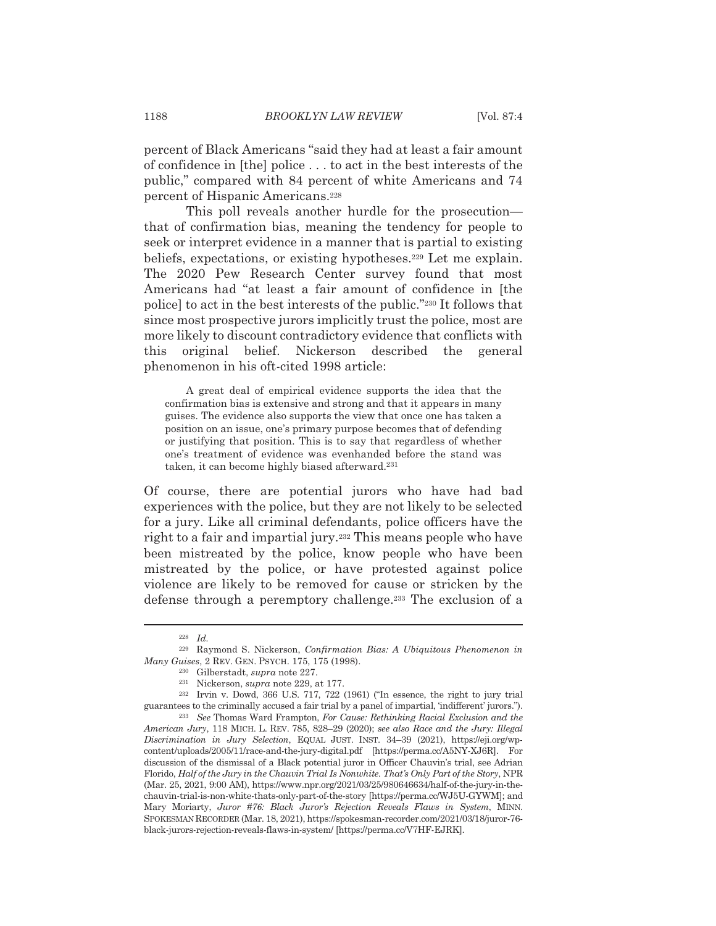percent of Black Americans "said they had at least a fair amount of confidence in [the] police . . . to act in the best interests of the public," compared with 84 percent of white Americans and 74 percent of Hispanic Americans.<sup>228</sup>

This poll reveals another hurdle for the prosecutionthat of confirmation bias, meaning the tendency for people to seek or interpret evidence in a manner that is partial to existing beliefs, expectations, or existing hypotheses.<sup>229</sup> Let me explain. The 2020 Pew Research Center survey found that most Americans had "at least a fair amount of confidence in [the police) to act in the best interests of the public."<sup>230</sup> It follows that since most prospective jurors implicitly trust the police, most are more likely to discount contradictory evidence that conflicts with original belief. Nickerson described the general this phenomenon in his oft-cited 1998 article:

A great deal of empirical evidence supports the idea that the confirmation bias is extensive and strong and that it appears in many guises. The evidence also supports the view that once one has taken a position on an issue, one's primary purpose becomes that of defending or justifying that position. This is to say that regardless of whether one's treatment of evidence was evenhanded before the stand was taken, it can become highly biased afterward.<sup>231</sup>

Of course, there are potential jurors who have had bad experiences with the police, but they are not likely to be selected for a jury. Like all criminal defendants, police officers have the right to a fair and impartial jury.<sup>232</sup> This means people who have been mistreated by the police, know people who have been mistreated by the police, or have protested against police violence are likely to be removed for cause or stricken by the defense through a peremptory challenge.<sup>233</sup> The exclusion of a

 $228$  *Id.* 

<sup>&</sup>lt;sup>229</sup> Raymond S. Nickerson, Confirmation Bias: A Ubiquitous Phenomenon in Many Guises, 2 REV. GEN. PSYCH. 175, 175 (1998).

<sup>&</sup>lt;sup>230</sup> Gilberstadt, *supra* note 227.

 $231$  Nickerson, *supra* note 229, at 177.

 $232$  Irvin v. Dowd, 366 U.S. 717, 722 (1961) ("In essence, the right to jury trial guarantees to the criminally accused a fair trial by a panel of impartial, 'indifferent' jurors.").

<sup>&</sup>lt;sup>233</sup> See Thomas Ward Frampton, For Cause: Rethinking Racial Exclusion and the American Jury, 118 MICH. L. REV. 785, 828-29 (2020); see also Race and the Jury: Illegal Discrimination in Jury Selection, EQUAL JUST. INST. 34-39 (2021), https://eji.org/wpcontent/uploads/2005/11/race-and-the-jury-digital.pdf [https://perma.cc/A5NY-XJ6R]. For discussion of the dismissal of a Black potential juror in Officer Chauvin's trial, see Adrian Florido, Half of the Jury in the Chauvin Trial Is Nonwhite. That's Only Part of the Story, NPR (Mar. 25, 2021, 9:00 AM), https://www.npr.org/2021/03/25/980646634/half-of-the-jury-in-thechauvin-trial-is-non-white-thats-only-part-of-the-story [https://perma.cc/WJ5U-GYWM]; and Mary Moriarty, Juror #76: Black Juror's Rejection Reveals Flaws in System, MINN. SPOKESMAN RECORDER (Mar. 18, 2021), https://spokesman-recorder.com/2021/03/18/juror-76black-jurors-rejection-reveals-flaws-in-system/ [https://perma.cc/V7HF-EJRK].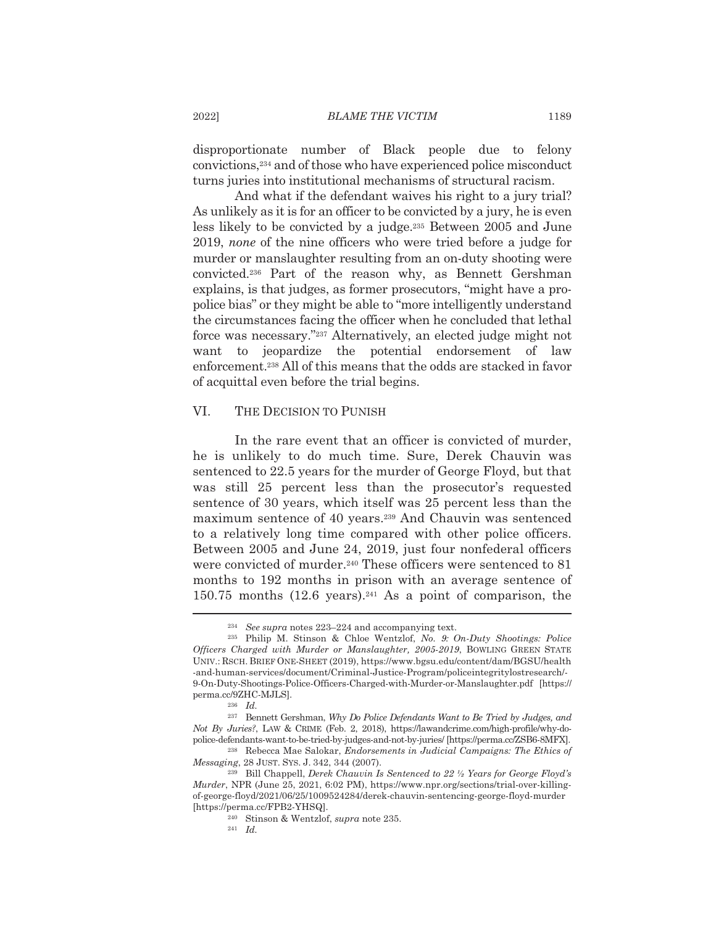disproportionate number of Black people due to felony convictions,<sup>234</sup> and of those who have experienced police misconduct turns juries into institutional mechanisms of structural racism.

And what if the defendant waives his right to a jury trial? As unlikely as it is for an officer to be convicted by a jury, he is even less likely to be convicted by a judge.<sup>235</sup> Between 2005 and June 2019, none of the nine officers who were tried before a judge for murder or manslaughter resulting from an on-duty shooting were convicted.<sup>236</sup> Part of the reason why, as Bennett Gershman explains, is that judges, as former prosecutors, "might have a propolice bias" or they might be able to "more intelligently understand" the circumstances facing the officer when he concluded that lethal force was necessary."237 Alternatively, an elected judge might not want to jeopardize the potential endorsement of law enforcement.<sup>238</sup> All of this means that the odds are stacked in favor of acquittal even before the trial begins.

#### VI. THE DECISION TO PUNISH

In the rare event that an officer is convicted of murder, he is unlikely to do much time. Sure, Derek Chauvin was sentenced to 22.5 years for the murder of George Floyd, but that was still 25 percent less than the prosecutor's requested sentence of 30 years, which itself was 25 percent less than the maximum sentence of 40 years.<sup>239</sup> And Chauvin was sentenced to a relatively long time compared with other police officers. Between 2005 and June 24, 2019, just four nonfederal officers were convicted of murder.<sup>240</sup> These officers were sentenced to 81 months to 192 months in prison with an average sentence of 150.75 months  $(12.6 \text{ years})$ .<sup>241</sup> As a point of comparison, the

 $234$  See supra notes 223–224 and accompanying text.

<sup>&</sup>lt;sup>235</sup> Philip M. Stinson & Chloe Wentzlof, No. 9: On-Duty Shootings: Police Officers Charged with Murder or Manslaughter, 2005-2019, BOWLING GREEN STATE UNIV.: RSCH. BRIEF ONE-SHEET (2019), https://www.bgsu.edu/content/dam/BGSU/health -and-human-services/document/Criminal-Justice-Program/policeintegritylostresearch/-9-On-Duty-Shootings-Police-Officers-Charged-with-Murder-or-Manslaughter.pdf [https:// perma.cc/9ZHC-MJLS].

 $236$  *Id.* 

<sup>&</sup>lt;sup>237</sup> Bennett Gershman, Why Do Police Defendants Want to Be Tried by Judges, and Not By Juries?, LAW & CRIME (Feb. 2, 2018), https://lawandcrime.com/high-profile/why-dopolice-defendants-want-to-be-tried-by-judges-and-not-by-juries/ [https://perma.cc/ZSB6-8MFX].

<sup>&</sup>lt;sup>238</sup> Rebecca Mae Salokar, *Endorsements in Judicial Campaigns: The Ethics of* Messaging, 28 JUST. SYS. J. 342, 344 (2007).

<sup>&</sup>lt;sup>239</sup> Bill Chappell, Derek Chauvin Is Sentenced to 22 <sup>1</sup>/<sub>2</sub> Years for George Floyd's Murder, NPR (June 25, 2021, 6:02 PM), https://www.npr.org/sections/trial-over-killingof-george-floyd/2021/06/25/1009524284/derek-chauvin-sentencing-george-floyd-murder [https://perma.cc/FPB2-YHSQ].

<sup>&</sup>lt;sup>240</sup> Stinson & Wentzlof, *supra* note 235.

 $241$  *Id.*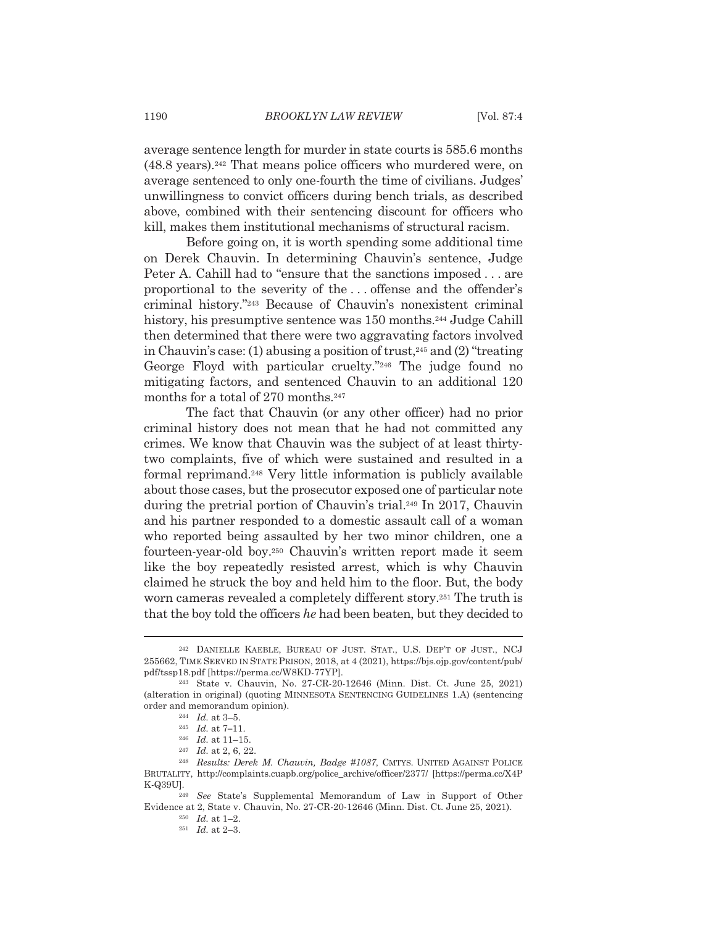average sentence length for murder in state courts is 585.6 months  $(48.8 \text{ years})$ .<sup>242</sup> That means police officers who murdered were, on average sentenced to only one-fourth the time of civilians. Judges' unwillingness to convict officers during bench trials, as described above, combined with their sentencing discount for officers who kill, makes them institutional mechanisms of structural racism.

Before going on, it is worth spending some additional time on Derek Chauvin. In determining Chauvin's sentence, Judge Peter A. Cahill had to "ensure that the sanctions imposed...are proportional to the severity of the ... offense and the offender's criminal history."243 Because of Chauvin's nonexistent criminal history, his presumptive sentence was 150 months.<sup>244</sup> Judge Cahill then determined that there were two aggravating factors involved in Chauvin's case: (1) abusing a position of trust,  $245$  and (2) "treating George Floyd with particular cruelty."246 The judge found no mitigating factors, and sentenced Chauvin to an additional 120 months for a total of 270 months.<sup>247</sup>

The fact that Chauvin (or any other officer) had no prior criminal history does not mean that he had not committed any crimes. We know that Chauvin was the subject of at least thirtytwo complaints, five of which were sustained and resulted in a formal reprimand.<sup>248</sup> Very little information is publicly available about those cases, but the prosecutor exposed one of particular note during the pretrial portion of Chauvin's trial.<sup>249</sup> In 2017, Chauvin and his partner responded to a domestic assault call of a woman who reported being assaulted by her two minor children, one a fourteen-year-old boy.<sup>250</sup> Chauvin's written report made it seem like the boy repeatedly resisted arrest, which is why Chauvin claimed he struck the boy and held him to the floor. But, the body worn cameras revealed a completely different story.<sup>251</sup> The truth is that the boy told the officers he had been beaten, but they decided to

<sup>&</sup>lt;sup>242</sup> DANIELLE KAEBLE, BUREAU OF JUST. STAT., U.S. DEP'T OF JUST., NCJ 255662, TIME SERVED IN STATE PRISON, 2018, at 4 (2021), https://bjs.ojp.gov/content/pub/ pdf/tssp18.pdf [https://perma.cc/W8KD-77YP].

<sup>&</sup>lt;sup>243</sup> State v. Chauvin, No. 27-CR-20-12646 (Minn. Dist. Ct. June 25, 2021) (alteration in original) (quoting MINNESOTA SENTENCING GUIDELINES 1.A) (sentencing order and memorandum opinion).

 $^\mathrm{244}$   $\,$   $\!Id.\xspace$  at 3–5.

 $245$  *Id.* at 7-11.

 $246$  *Id.* at 11-15.

 $247$  *Id.* at 2, 6, 22.

<sup>&</sup>lt;sup>248</sup> Results: Derek M. Chauvin, Badge #1087, CMTYS. UNITED AGAINST POLICE BRUTALITY, http://complaints.cuapb.org/police\_archive/officer/2377/ [https://perma.cc/X4P K-Q39U].

<sup>&</sup>lt;sup>249</sup> See State's Supplemental Memorandum of Law in Support of Other Evidence at 2, State v. Chauvin, No. 27-CR-20-12646 (Minn. Dist. Ct. June 25, 2021).

 $250$  *Id.* at 1-2.

 $251$  *Id.* at 2-3.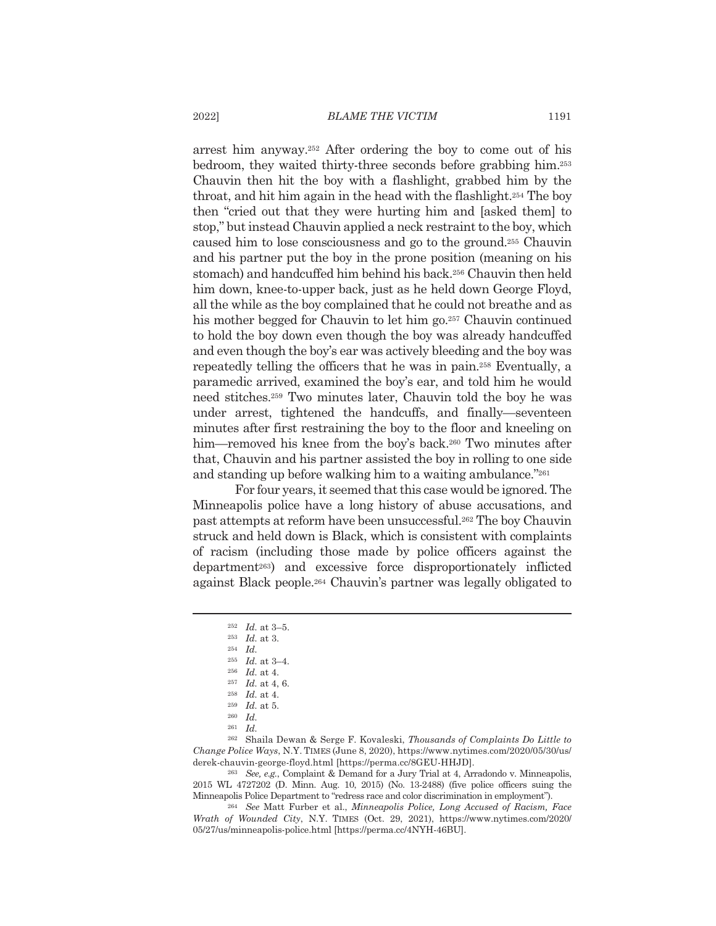arrest him anyway.<sup>252</sup> After ordering the boy to come out of his bedroom, they waited thirty-three seconds before grabbing him.<sup>253</sup> Chauvin then hit the boy with a flashlight, grabbed him by the throat, and hit him again in the head with the flashlight.<sup>254</sup> The boy then "cried out that they were hurting him and [asked them] to stop," but instead Chauvin applied a neck restraint to the boy, which caused him to lose consciousness and go to the ground.<sup>255</sup> Chauvin and his partner put the boy in the prone position (meaning on his stomach) and handcuffed him behind his back.<sup>256</sup> Chauvin then held him down, knee-to-upper back, just as he held down George Floyd, all the while as the boy complained that he could not breathe and as his mother begged for Chauvin to let him go.<sup>257</sup> Chauvin continued to hold the boy down even though the boy was already handcuffed and even though the boy's ear was actively bleeding and the boy was repeatedly telling the officers that he was in pain.<sup>258</sup> Eventually, a paramedic arrived, examined the boy's ear, and told him he would need stitches.<sup>259</sup> Two minutes later, Chauvin told the boy he was under arrest, tightened the handcuffs, and finally—seventeen minutes after first restraining the boy to the floor and kneeling on him—removed his knee from the boy's back.<sup>260</sup> Two minutes after that, Chauvin and his partner assisted the boy in rolling to one side and standing up before walking him to a waiting ambulance."261

For four years, it seemed that this case would be ignored. The Minneapolis police have a long history of abuse accusations, and past attempts at reform have been unsuccessful.<sup>262</sup> The boy Chauvin struck and held down is Black, which is consistent with complaints of racism (including those made by police officers against the department<sup>263</sup>) and excessive force disproportionately inflicted against Black people.<sup>264</sup> Chauvin's partner was legally obligated to

<sup>262</sup> Shaila Dewan & Serge F. Kovaleski, Thousands of Complaints Do Little to Change Police Ways, N.Y. TIMES (June 8, 2020), https://www.nytimes.com/2020/05/30/us/ derek-chauvin-george-floyd.html [https://perma.cc/8GEU-HHJD].

<sup>263</sup> See, e.g., Complaint & Demand for a Jury Trial at 4, Arradondo v. Minneapolis, 2015 WL 4727202 (D. Minn. Aug. 10, 2015) (No. 13-2488) (five police officers suing the Minneapolis Police Department to "redress race and color discrimination in employment").

<sup>264</sup> See Matt Furber et al., Minneapolis Police, Long Accused of Racism, Face Wrath of Wounded City, N.Y. TIMES (Oct. 29, 2021), https://www.nytimes.com/2020/ 05/27/us/minneapolis-police.html [https://perma.cc/4NYH-46BU].

 $252$  *Id.* at 3-5.

 $253$  *Id.* at 3.  $254$  *Id.* 

<sup>255</sup> Id. at 3-4.

 $256$  *Id.* at 4.

 $257$  *Id.* at 4, 6.

 $258$  *Id.* at 4.

 $259$  *Id.* at 5.

 $260$  *Id.* 

 $261$  *Id.*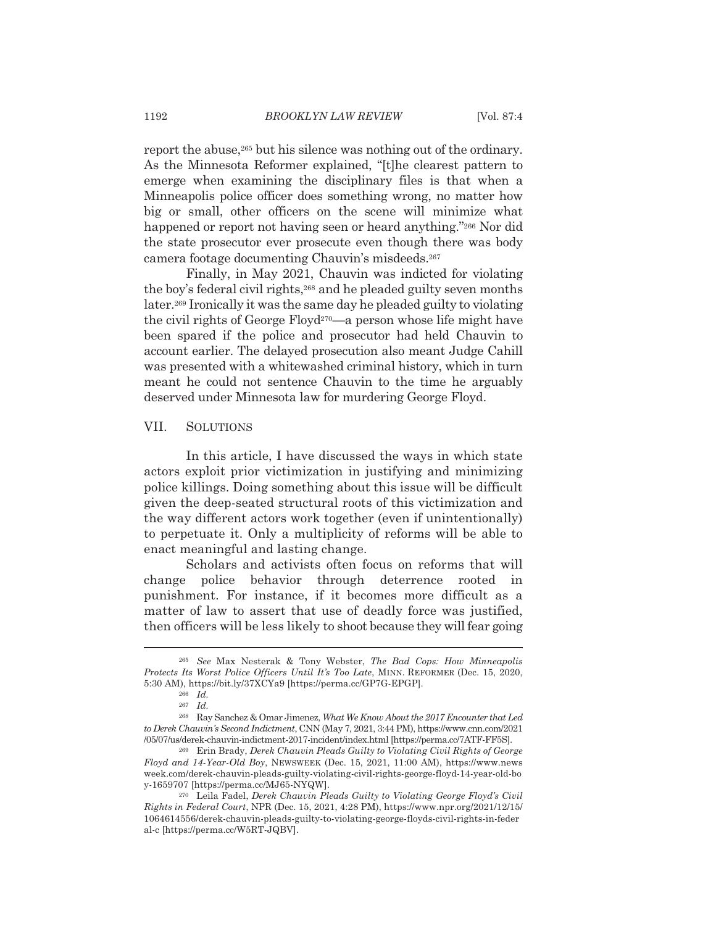report the abuse,<sup>265</sup> but his silence was nothing out of the ordinary. As the Minnesota Reformer explained, "[t] he clearest pattern to emerge when examining the disciplinary files is that when a Minneapolis police officer does something wrong, no matter how big or small, other officers on the scene will minimize what happened or report not having seen or heard anything."266 Nor did the state prosecutor ever prosecute even though there was body camera footage documenting Chauvin's misdeeds.<sup>267</sup>

Finally, in May 2021, Chauvin was indicted for violating the boy's federal civil rights,<sup>268</sup> and he pleaded guilty seven months later.<sup>269</sup> Ironically it was the same day he pleaded guilty to violating the civil rights of George Floyd<sup>270</sup>—a person whose life might have been spared if the police and prosecutor had held Chauvin to account earlier. The delayed prosecution also meant Judge Cahill was presented with a whitewashed criminal history, which in turn meant he could not sentence Chauvin to the time he arguably deserved under Minnesota law for murdering George Floyd.

#### VII. **SOLUTIONS**

In this article, I have discussed the ways in which state actors exploit prior victimization in justifying and minimizing police killings. Doing something about this issue will be difficult given the deep-seated structural roots of this victimization and the way different actors work together (even if unintentionally) to perpetuate it. Only a multiplicity of reforms will be able to enact meaningful and lasting change.

Scholars and activists often focus on reforms that will change police behavior through deterrence rooted in punishment. For instance, if it becomes more difficult as a matter of law to assert that use of deadly force was justified, then officers will be less likely to shoot because they will fear going

<sup>&</sup>lt;sup>265</sup> See Max Nesterak & Tony Webster, The Bad Cops: How Minneapolis Protects Its Worst Police Officers Until It's Too Late, MINN. REFORMER (Dec. 15, 2020, 5:30 AM), https://bit.ly/37XCYa9 [https://perma.cc/GP7G-EPGP].

 $266$  *Id.* 

 $267$  *Id.* 

<sup>&</sup>lt;sup>268</sup> Ray Sanchez & Omar Jimenez, What We Know About the 2017 Encounter that Led to Derek Chauvin's Second Indictment, CNN (May 7, 2021, 3:44 PM), https://www.cnn.com/2021 /05/07/us/derek-chauvin-indictment-2017-incident/index.html [https://perma.cc/7ATF-FF5S].

<sup>&</sup>lt;sup>269</sup> Erin Brady, Derek Chauvin Pleads Guilty to Violating Civil Rights of George Floyd and 14-Year-Old Boy, NEWSWEEK (Dec. 15, 2021, 11:00 AM), https://www.news week.com/derek-chauvin-pleads-guilty-violating-civil-rights-george-floyd-14-year-old-bo y-1659707 [https://perma.cc/MJ65-NYQW].

<sup>&</sup>lt;sup>270</sup> Leila Fadel, Derek Chauvin Pleads Guilty to Violating George Floyd's Civil Rights in Federal Court, NPR (Dec. 15, 2021, 4:28 PM), https://www.npr.org/2021/12/15/ 1064614556/derek-chauvin-pleads-guilty-to-violating-george-floyds-civil-rights-in-feder al-c [https://perma.cc/W5RT-JQBV].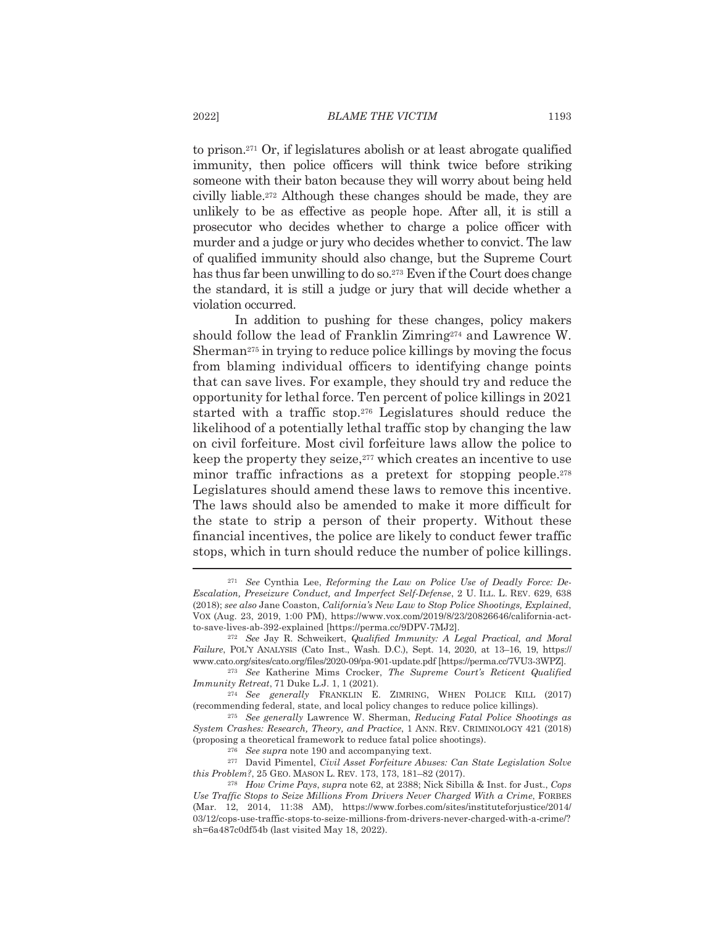to prison.<sup>271</sup> Or, if legislatures abolish or at least abrogate qualified immunity, then police officers will think twice before striking someone with their baton because they will worry about being held civilly liable.<sup>272</sup> Although these changes should be made, they are unlikely to be as effective as people hope. After all, it is still a prosecutor who decides whether to charge a police officer with murder and a judge or jury who decides whether to convict. The law of qualified immunity should also change, but the Supreme Court has thus far been unwilling to do so.<sup>273</sup> Even if the Court does change the standard, it is still a judge or jury that will decide whether a violation occurred.

In addition to pushing for these changes, policy makers should follow the lead of Franklin Zimring<sup>274</sup> and Lawrence W. Sherman<sup>275</sup> in trying to reduce police killings by moving the focus from blaming individual officers to identifying change points that can save lives. For example, they should try and reduce the opportunity for lethal force. Ten percent of police killings in 2021 started with a traffic stop.<sup>276</sup> Legislatures should reduce the likelihood of a potentially lethal traffic stop by changing the law on civil forfeiture. Most civil forfeiture laws allow the police to keep the property they seize,<sup>277</sup> which creates an incentive to use minor traffic infractions as a pretext for stopping people.<sup>278</sup> Legislatures should amend these laws to remove this incentive. The laws should also be amended to make it more difficult for the state to strip a person of their property. Without these financial incentives, the police are likely to conduct fewer traffic stops, which in turn should reduce the number of police killings.

<sup>&</sup>lt;sup>271</sup> See Cynthia Lee, Reforming the Law on Police Use of Deadly Force: De-Escalation, Preseizure Conduct, and Imperfect Self-Defense, 2 U. ILL. L. REV. 629, 638 (2018); see also Jane Coaston, California's New Law to Stop Police Shootings, Explained, VOX (Aug. 23, 2019, 1:00 PM), https://www.vox.com/2019/8/23/20826646/california-actto-save-lives-ab-392-explained [https://perma.cc/9DPV-7MJ2].

<sup>&</sup>lt;sup>272</sup> See Jay R. Schweikert, Qualified Immunity: A Legal Practical, and Moral Failure, POL'Y ANALYSIS (Cato Inst., Wash. D.C.), Sept. 14, 2020, at 13-16, 19, https:// www.cato.org/sites/cato.org/files/2020-09/pa-901-update.pdf [https://perma.cc/7VU3-3WPZ].

<sup>&</sup>lt;sup>273</sup> See Katherine Mims Crocker, The Supreme Court's Reticent Qualified Immunity Retreat, 71 Duke L.J. 1, 1 (2021).

<sup>&</sup>lt;sup>274</sup> See generally FRANKLIN E. ZIMRING, WHEN POLICE KILL (2017) (recommending federal, state, and local policy changes to reduce police killings).

<sup>&</sup>lt;sup>275</sup> See generally Lawrence W. Sherman, Reducing Fatal Police Shootings as System Crashes: Research, Theory, and Practice, 1 ANN. REV. CRIMINOLOGY 421 (2018) (proposing a theoretical framework to reduce fatal police shootings).

 $276$  See supra note 190 and accompanying text.

<sup>&</sup>lt;sup>277</sup> David Pimentel, *Civil Asset Forfeiture Abuses: Can State Legislation Solve* this Problem?, 25 GEO. MASON L. REV. 173, 173, 181-82 (2017).

<sup>&</sup>lt;sup>278</sup> How Crime Pays, supra note 62, at 2388; Nick Sibilla & Inst. for Just., Cops Use Traffic Stops to Seize Millions From Drivers Never Charged With a Crime, FORBES (Mar. 12, 2014, 11:38 AM), https://www.forbes.com/sites/instituteforjustice/2014/ 03/12/cops-use-traffic-stops-to-seize-millions-from-drivers-never-charged-with-a-crime/? sh=6a487c0df54b (last visited May 18, 2022).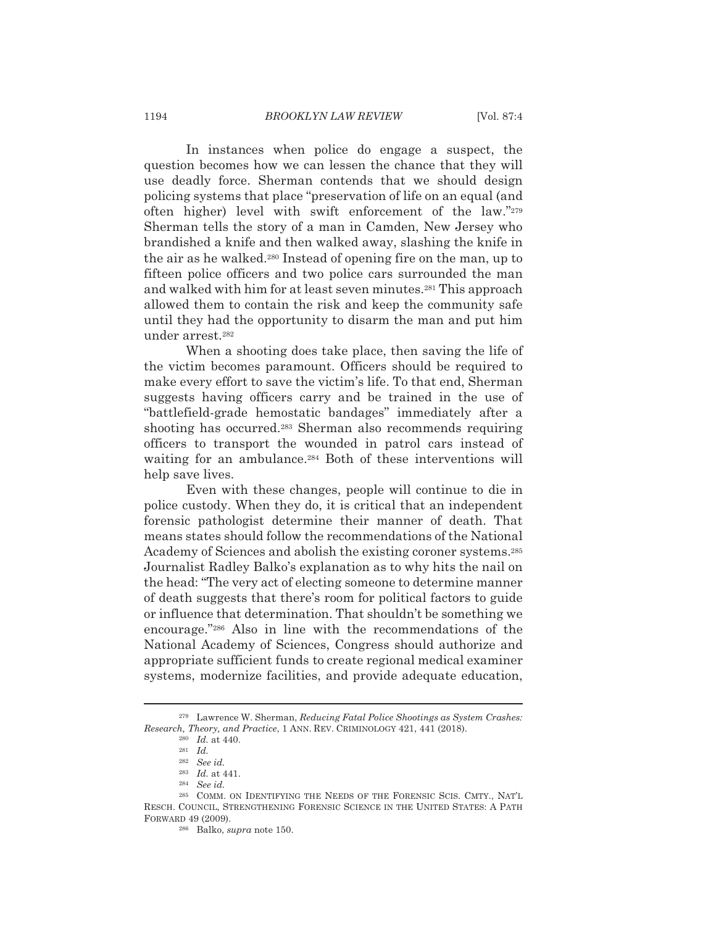### **BROOKLYN LAW REVIEW**

In instances when police do engage a suspect, the question becomes how we can lessen the chance that they will use deadly force. Sherman contends that we should design policing systems that place "preservation of life on an equal (and often higher) level with swift enforcement of the law."279 Sherman tells the story of a man in Camden, New Jersey who brandished a knife and then walked away, slashing the knife in the air as he walked.<sup>280</sup> Instead of opening fire on the man, up to fifteen police officers and two police cars surrounded the man and walked with him for at least seven minutes.<sup>281</sup> This approach allowed them to contain the risk and keep the community safe until they had the opportunity to disarm the man and put him under arrest.<sup>282</sup>

When a shooting does take place, then saving the life of the victim becomes paramount. Officers should be required to make every effort to save the victim's life. To that end, Sherman suggests having officers carry and be trained in the use of "battlefield-grade hemostatic bandages" immediately after a shooting has occurred.<sup>283</sup> Sherman also recommends requiring officers to transport the wounded in patrol cars instead of waiting for an ambulance.<sup>284</sup> Both of these interventions will help save lives.

Even with these changes, people will continue to die in police custody. When they do, it is critical that an independent forensic pathologist determine their manner of death. That means states should follow the recommendations of the National Academy of Sciences and abolish the existing coroner systems.<sup>285</sup> Journalist Radley Balko's explanation as to why hits the nail on the head: "The very act of electing someone to determine manner of death suggests that there's room for political factors to guide or influence that determination. That shouldn't be something we encourage."<sup>286</sup> Also in line with the recommendations of the National Academy of Sciences, Congress should authorize and appropriate sufficient funds to create regional medical examiner systems, modernize facilities, and provide adequate education,

<sup>&</sup>lt;sup>279</sup> Lawrence W. Sherman, Reducing Fatal Police Shootings as System Crashes: Research, Theory, and Practice, 1 ANN. REV. CRIMINOLOGY 421, 441 (2018).

 $280$  *Id.* at 440.

 $281$  *Id.* 

 $282$  See id.

 $283$  *Id.* at 441.

 $^{\rm 284}$   $\,$  See  $id.$ 

<sup>&</sup>lt;sup>285</sup> COMM. ON IDENTIFYING THE NEEDS OF THE FORENSIC SCIS. CMTY., NAT'L RESCH, COUNCIL, STRENGTHENING FORENSIC SCIENCE IN THE UNITED STATES: A PATH FORWARD 49 (2009).

<sup>&</sup>lt;sup>286</sup> Balko, *supra* note 150.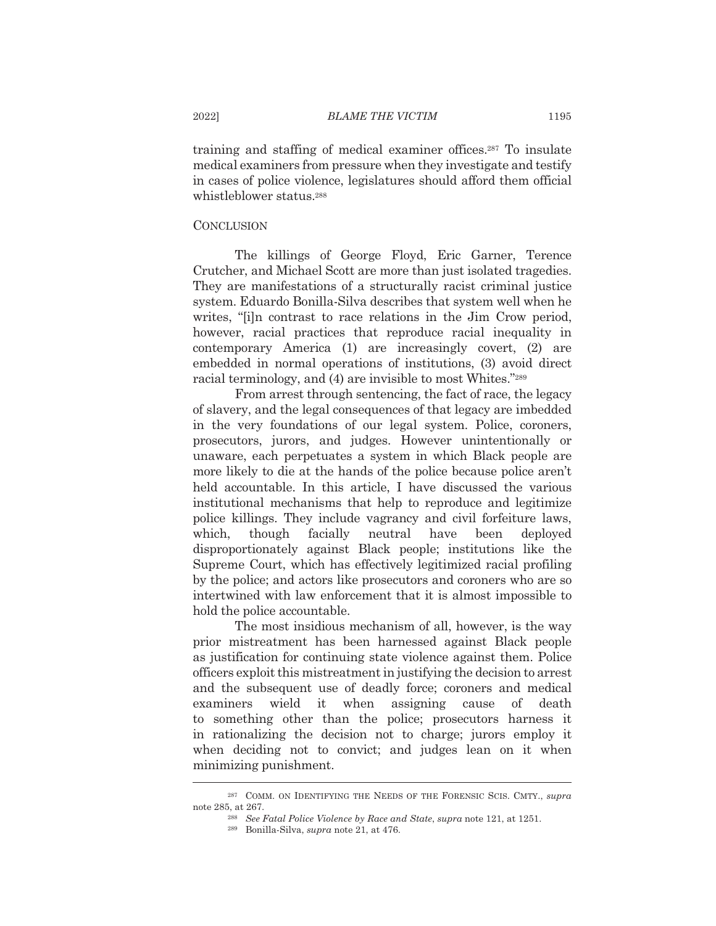training and staffing of medical examiner offices.<sup>287</sup> To insulate medical examiners from pressure when they investigate and testify in cases of police violence, legislatures should afford them official whistleblower status.<sup>288</sup>

## **CONCLUSION**

The killings of George Floyd, Eric Garner, Terence Crutcher, and Michael Scott are more than just isolated tragedies. They are manifestations of a structurally racist criminal justice system. Eduardo Bonilla-Silva describes that system well when he writes, "[i]n contrast to race relations in the Jim Crow period, however, racial practices that reproduce racial inequality in contemporary America (1) are increasingly covert, (2) are embedded in normal operations of institutions, (3) avoid direct racial terminology, and (4) are invisible to most Whites."289

From arrest through sentencing, the fact of race, the legacy of slavery, and the legal consequences of that legacy are imbedded in the very foundations of our legal system. Police, coroners, prosecutors, jurors, and judges. However unintentionally or unaware, each perpetuates a system in which Black people are more likely to die at the hands of the police because police aren't held accountable. In this article, I have discussed the various institutional mechanisms that help to reproduce and legitimize police killings. They include vagrancy and civil forfeiture laws, neutral which, though facially have been deployed disproportionately against Black people; institutions like the Supreme Court, which has effectively legitimized racial profiling by the police; and actors like prosecutors and coroners who are so intertwined with law enforcement that it is almost impossible to hold the police accountable.

The most insidious mechanism of all, however, is the way prior mistreatment has been harnessed against Black people as justification for continuing state violence against them. Police officers exploit this mistreatment in justifying the decision to arrest and the subsequent use of deadly force; coroners and medical examiners wield it when assigning cause of death to something other than the police; prosecutors harness it in rationalizing the decision not to charge; jurors employ it when deciding not to convict; and judges lean on it when minimizing punishment.

<sup>&</sup>lt;sup>287</sup> COMM. ON IDENTIFYING THE NEEDS OF THE FORENSIC SCIS. CMTY., supra note 285, at 267.

<sup>&</sup>lt;sup>288</sup> See Fatal Police Violence by Race and State, supra note 121, at 1251.

<sup>&</sup>lt;sup>289</sup> Bonilla-Silva, *supra* note 21, at 476.